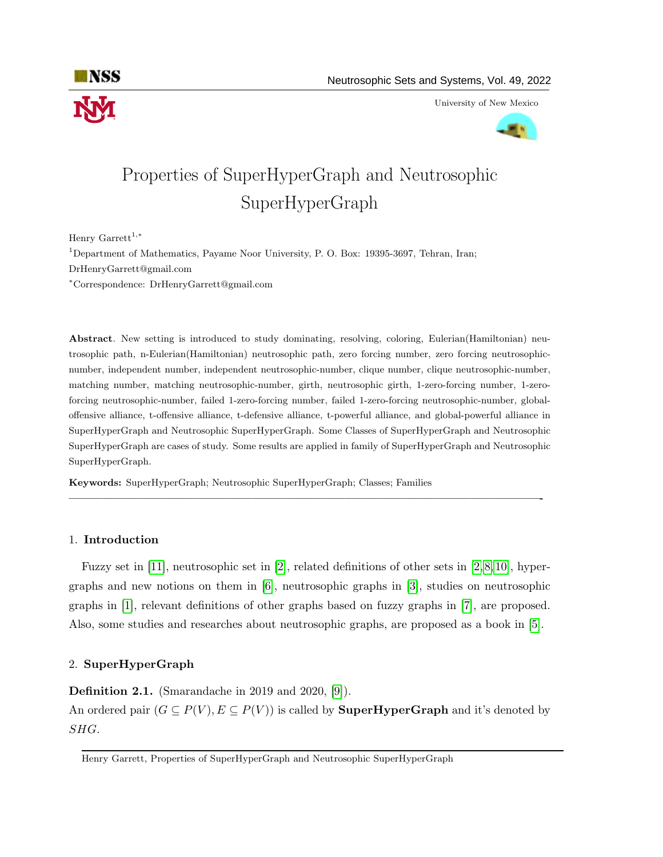

University of New Mexico



# Properties of SuperHyperGraph and Neutrosophic SuperHyperGraph

Henry Garrett<sup>1,\*</sup>

<sup>1</sup>Department of Mathematics, Payame Noor University, P. O. Box: 19395-3697, Tehran, Iran; DrHenryGarrett@gmail.com <sup>∗</sup>Correspondence: DrHenryGarrett@gmail.com

Abstract. New setting is introduced to study dominating, resolving, coloring, Eulerian(Hamiltonian) neutrosophic path, n-Eulerian(Hamiltonian) neutrosophic path, zero forcing number, zero forcing neutrosophicnumber, independent number, independent neutrosophic-number, clique number, clique neutrosophic-number, matching number, matching neutrosophic-number, girth, neutrosophic girth, 1-zero-forcing number, 1-zeroforcing neutrosophic-number, failed 1-zero-forcing number, failed 1-zero-forcing neutrosophic-number, globaloffensive alliance, t-offensive alliance, t-defensive alliance, t-powerful alliance, and global-powerful alliance in SuperHyperGraph and Neutrosophic SuperHyperGraph. Some Classes of SuperHyperGraph and Neutrosophic SuperHyperGraph are cases of study. Some results are applied in family of SuperHyperGraph and Neutrosophic SuperHyperGraph.

Keywords: SuperHyperGraph; Neutrosophic SuperHyperGraph; Classes; Families

## 1. Introduction

Fuzzy set in [\[11\]](#page-29-0), neutrosophic set in [\[2\]](#page-29-1), related definitions of other sets in [\[2,](#page-29-1) [8,](#page-29-2) [10\]](#page-29-3), hypergraphs and new notions on them in [\[6\]](#page-29-4), neutrosophic graphs in [\[3\]](#page-29-5), studies on neutrosophic graphs in [\[1\]](#page-29-6), relevant definitions of other graphs based on fuzzy graphs in [\[7\]](#page-29-7), are proposed. Also, some studies and researches about neutrosophic graphs, are proposed as a book in [\[5\]](#page-29-8).

—————————————————————————————————————————-

## 2. SuperHyperGraph

Definition 2.1. (Smarandache in 2019 and 2020, [\[9\]](#page-29-9)).

An ordered pair  $(G \subseteq P(V), E \subseteq P(V))$  is called by **SuperHyperGraph** and it's denoted by SHG.

Henry Garrett, Properties of SuperHyperGraph and Neutrosophic SuperHyperGraph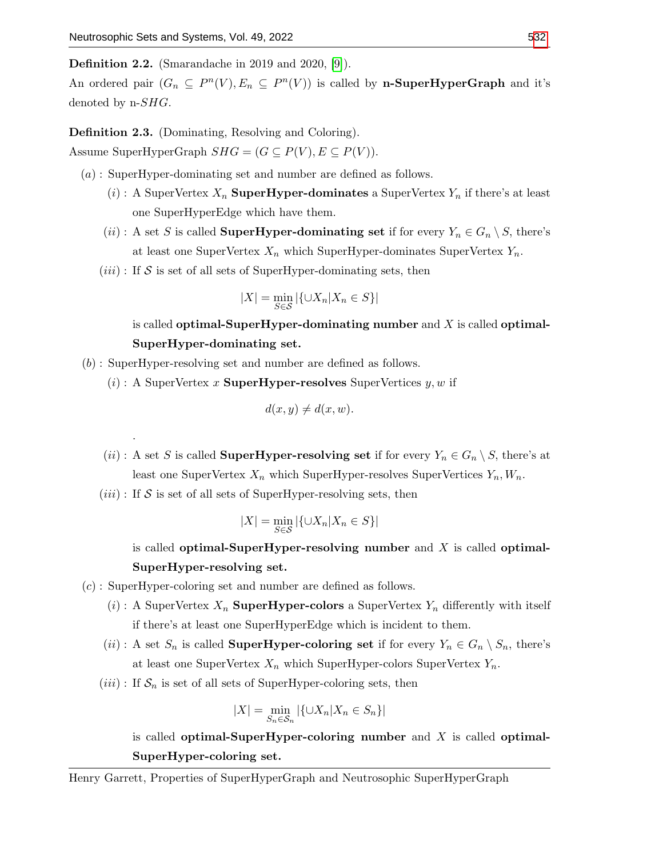.

Definition 2.2. (Smarandache in 2019 and 2020, [\[9\]](#page-29-9)).

An ordered pair  $(G_n \subseteq P^n(V), E_n \subseteq P^n(V))$  is called by **n-SuperHyperGraph** and it's denoted by  $n\text{-}SHG$ .

Definition 2.3. (Dominating, Resolving and Coloring).

Assume SuperHyperGraph  $SHG = (G \subseteq P(V), E \subseteq P(V))$ .

(a) : SuperHyper-dominating set and number are defined as follows.

- (i) : A SuperVertex  $X_n$  SuperHyper-dominates a SuperVertex  $Y_n$  if there's at least one SuperHyperEdge which have them.
- (*ii*): A set S is called **SuperHyper-dominating set** if for every  $Y_n \in G_n \setminus S$ , there's at least one SuperVertex  $X_n$  which SuperHyper-dominates SuperVertex  $Y_n$ .
- $(iii)$ : If S is set of all sets of SuperHyper-dominating sets, then

$$
|X| = \min_{S \in \mathcal{S}} |\{\cup X_n | X_n \in S\}|
$$

is called optimal-SuperHyper-dominating number and  $X$  is called optimal-SuperHyper-dominating set.

(b) : SuperHyper-resolving set and number are defined as follows.

 $(i)$ : A SuperVertex x **SuperHyper-resolves** SuperVertices  $y, w$  if

$$
d(x, y) \neq d(x, w).
$$

- (*ii*): A set S is called **SuperHyper-resolving set** if for every  $Y_n \in G_n \setminus S$ , there's at least one SuperVertex  $X_n$  which SuperHyper-resolves SuperVertices  $Y_n, W_n$ .
- $(iii)$ : If S is set of all sets of SuperHyper-resolving sets, then

$$
|X| = \min_{S \in \mathcal{S}} |\{\cup X_n | X_n \in S\}|
$$

is called optimal-SuperHyper-resolving number and  $X$  is called optimal-SuperHyper-resolving set.

- (c) : SuperHyper-coloring set and number are defined as follows.
	- (i) : A SuperVertex  $X_n$  SuperHyper-colors a SuperVertex  $Y_n$  differently with itself if there's at least one SuperHyperEdge which is incident to them.
	- (ii): A set  $S_n$  is called **SuperHyper-coloring set** if for every  $Y_n \in G_n \setminus S_n$ , there's at least one SuperVertex  $X_n$  which SuperHyper-colors SuperVertex  $Y_n$ .
	- $(iii)$ : If  $S_n$  is set of all sets of SuperHyper-coloring sets, then

$$
|X| = \min_{S_n \in \mathcal{S}_n} |\{ \cup X_n | X_n \in S_n \}|
$$

is called optimal-SuperHyper-coloring number and  $X$  is called optimal-SuperHyper-coloring set.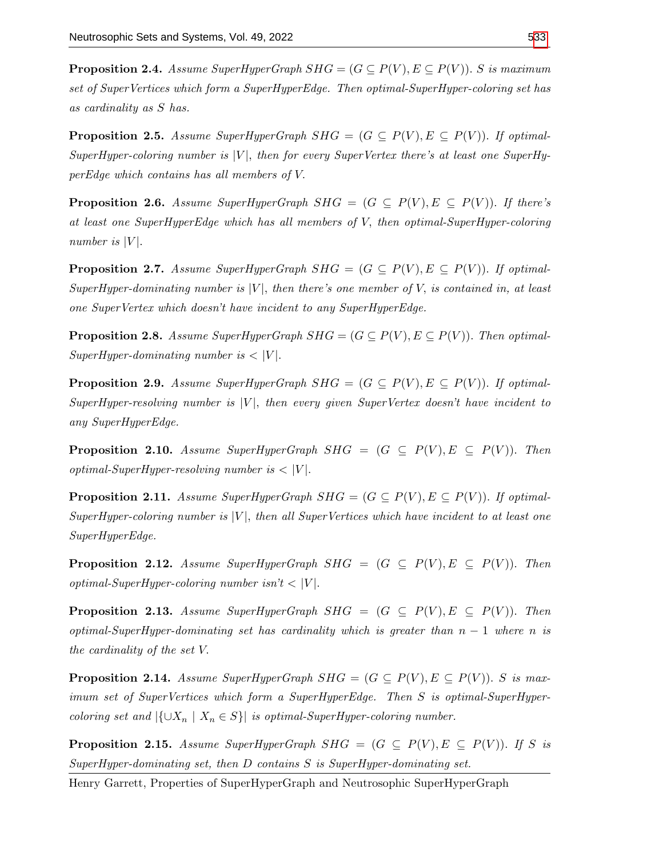**Proposition 2.4.** Assume SuperHyperGraph  $SHG = (G \subseteq P(V), E \subseteq P(V))$ . S is maximum set of SuperVertices which form a SuperHyperEdge. Then optimal-SuperHyper-coloring set has as cardinality as S has.

**Proposition 2.5.** Assume SuperHyperGraph  $SHG = (G \subseteq P(V), E \subseteq P(V))$ . If optimal-SuperHyper-coloring number is  $|V|$ , then for every SuperVertex there's at least one SuperHyperEdge which contains has all members of V.

**Proposition 2.6.** Assume SuperHyperGraph  $SHG = (G \subseteq P(V), E \subseteq P(V))$ . If there's at least one SuperHyperEdge which has all members of V, then optimal-SuperHyper-coloring number is  $|V|$ .

**Proposition 2.7.** Assume SuperHyperGraph  $SHG = (G \subseteq P(V), E \subseteq P(V))$ . If optimal-SuperHyper-dominating number is  $|V|$ , then there's one member of V, is contained in, at least one SuperVertex which doesn't have incident to any SuperHyperEdge.

**Proposition 2.8.** Assume SuperHyperGraph  $SHG = (G \subseteq P(V), E \subseteq P(V))$ . Then optimal-SuperHyper-dominating number is  $\langle |V|$ .

**Proposition 2.9.** Assume SuperHyperGraph  $SHG = (G \subseteq P(V), E \subseteq P(V))$ . If optimal-SuperHyper-resolving number is  $|V|$ , then every given SuperVertex doesn't have incident to any SuperHyperEdge.

**Proposition 2.10.** Assume SuperHyperGraph SHG =  $(G \subseteq P(V), E \subseteq P(V))$ . Then optimal-SuperHyper-resolving number is  $\langle |V|$ .

**Proposition 2.11.** Assume SuperHyperGraph  $SHG = (G \subseteq P(V), E \subseteq P(V))$ . If optimal-SuperHyper-coloring number is  $|V|$ , then all SuperVertices which have incident to at least one SuperHyperEdge.

**Proposition 2.12.** Assume SuperHyperGraph SHG =  $(G \subseteq P(V), E \subseteq P(V))$ . Then optimal-SuperHyper-coloring number isn't  $\langle |V|$ .

**Proposition 2.13.** Assume SuperHyperGraph SHG =  $(G \subseteq P(V), E \subseteq P(V))$ . Then optimal-SuperHyper-dominating set has cardinality which is greater than  $n - 1$  where n is the cardinality of the set V.

**Proposition 2.14.** Assume SuperHyperGraph  $SHG = (G \subseteq P(V), E \subseteq P(V))$ . S is maximum set of SuperVertices which form a SuperHyperEdge. Then S is optimal-SuperHypercoloring set and  $|\{\cup X_n \mid X_n \in S\}|$  is optimal-SuperHyper-coloring number.

**Proposition 2.15.** Assume SuperHyperGraph  $SHG = (G \subseteq P(V), E \subseteq P(V))$ . If S is SuperHyper-dominating set, then D contains S is SuperHyper-dominating set.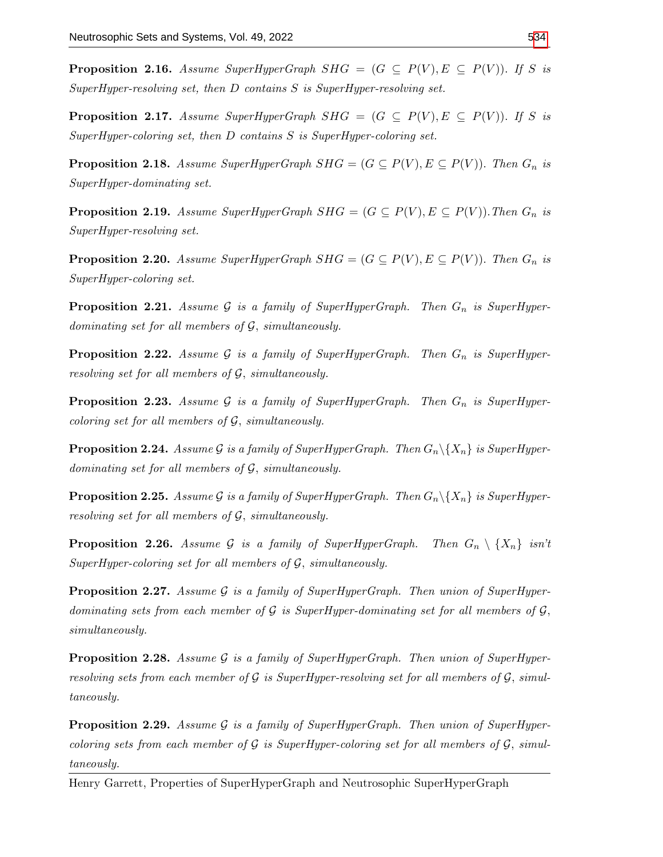**Proposition 2.16.** Assume SuperHyperGraph SHG =  $(G \subseteq P(V), E \subseteq P(V))$ . If S is SuperHyper-resolving set, then D contains S is SuperHyper-resolving set.

**Proposition 2.17.** Assume SuperHyperGraph SHG =  $(G \subseteq P(V), E \subseteq P(V))$ . If S is SuperHyper-coloring set, then D contains S is SuperHyper-coloring set.

**Proposition 2.18.** Assume SuperHyperGraph  $SHG = (G \subseteq P(V), E \subseteq P(V))$ . Then  $G_n$  is SuperHyper-dominating set.

**Proposition 2.19.** Assume SuperHyperGraph  $SHG = (G \subseteq P(V), E \subseteq P(V))$ . Then  $G_n$  is SuperHyper-resolving set.

**Proposition 2.20.** Assume SuperHyperGraph  $SHG = (G \subseteq P(V), E \subseteq P(V))$ . Then  $G_n$  is SuperHyper-coloring set.

**Proposition 2.21.** Assume G is a family of SuperHyperGraph. Then  $G_n$  is SuperHyperdominating set for all members of G, simultaneously.

**Proposition 2.22.** Assume G is a family of SuperHyperGraph. Then  $G_n$  is SuperHyperresolving set for all members of G, simultaneously.

**Proposition 2.23.** Assume G is a family of SuperHyperGraph. Then  $G_n$  is SuperHypercoloring set for all members of  $\mathcal{G}$ , simultaneously.

**Proposition 2.24.** Assume G is a family of SuperHyperGraph. Then  $G_n \backslash \{X_n\}$  is SuperHyperdominating set for all members of G, simultaneously.

**Proposition 2.25.** Assume G is a family of SuperHyperGraph. Then  $G_n \setminus \{X_n\}$  is SuperHyperresolving set for all members of G, simultaneously.

**Proposition 2.26.** Assume G is a family of SuperHyperGraph. Then  $G_n \setminus \{X_n\}$  isn't SuperHyper-coloring set for all members of  $G$ , simultaneously.

**Proposition 2.27.** Assume G is a family of SuperHyperGraph. Then union of SuperHyperdominating sets from each member of  $\mathcal G$  is SuperHyper-dominating set for all members of  $\mathcal G$ , simultaneously.

**Proposition 2.28.** Assume G is a family of SuperHyperGraph. Then union of SuperHyperresolving sets from each member of  $\mathcal G$  is SuperHyper-resolving set for all members of  $\mathcal G$ , simultaneously.

**Proposition 2.29.** Assume  $\mathcal G$  is a family of SuperHyperGraph. Then union of SuperHypercoloring sets from each member of  $\mathcal G$  is SuperHyper-coloring set for all members of  $\mathcal G$ , simultaneously.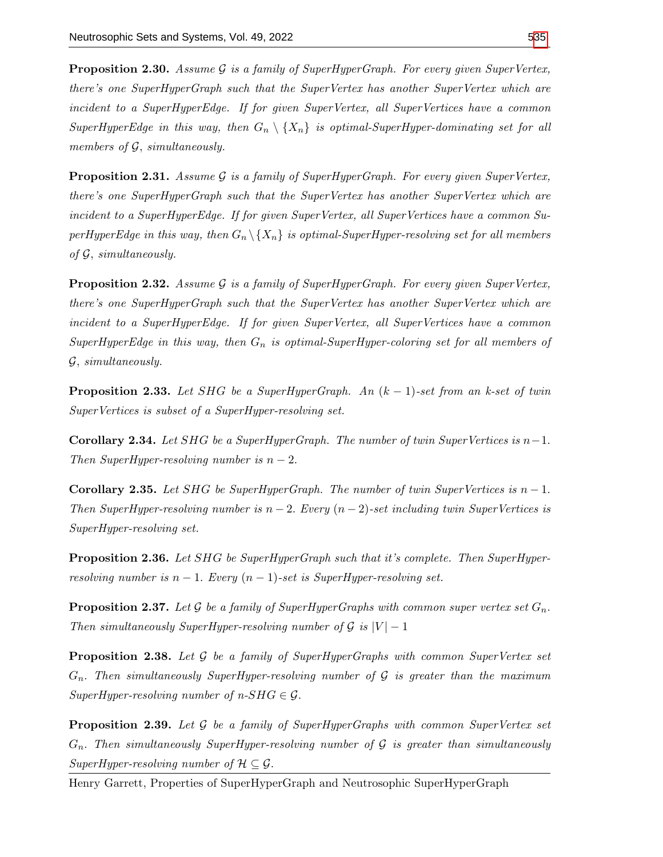**Proposition 2.30.** Assume G is a family of SuperHyperGraph. For every given SuperVertex, there's one SuperHyperGraph such that the SuperVertex has another SuperVertex which are incident to a SuperHyperEdge. If for given SuperVertex, all SuperVertices have a common SuperHyperEdge in this way, then  $G_n \setminus \{X_n\}$  is optimal-SuperHyper-dominating set for all members of  $\mathcal{G}$ , simultaneously.

**Proposition 2.31.** Assume G is a family of SuperHyperGraph. For every given SuperVertex, there's one SuperHyperGraph such that the SuperVertex has another SuperVertex which are incident to a SuperHyperEdge. If for given SuperVertex, all SuperVertices have a common SuperHyperEdge in this way, then  $G_n \backslash \{X_n\}$  is optimal-SuperHyper-resolving set for all members of  $\mathcal G$ , simultaneously.

**Proposition 2.32.** Assume  $G$  is a family of SuperHyperGraph. For every given SuperVertex, there's one SuperHyperGraph such that the SuperVertex has another SuperVertex which are incident to a SuperHyperEdge. If for given SuperVertex, all SuperVertices have a common SuperHyperEdge in this way, then  $G_n$  is optimal-SuperHyper-coloring set for all members of G, simultaneously.

**Proposition 2.33.** Let SHG be a SuperHyperGraph. An  $(k-1)$ -set from an k-set of twin SuperVertices is subset of a SuperHyper-resolving set.

**Corollary 2.34.** Let SHG be a SuperHyperGraph. The number of twin SuperVertices is  $n-1$ . Then SuperHyper-resolving number is  $n-2$ .

Corollary 2.35. Let SHG be SuperHyperGraph. The number of twin SuperVertices is  $n-1$ . Then SuperHyper-resolving number is  $n-2$ . Every  $(n-2)$ -set including twin SuperVertices is SuperHyper-resolving set.

**Proposition 2.36.** Let SHG be SuperHyperGraph such that it's complete. Then SuperHyperresolving number is  $n-1$ . Every  $(n-1)$ -set is SuperHyper-resolving set.

**Proposition 2.37.** Let G be a family of SuperHyperGraphs with common super vertex set  $G_n$ . Then simultaneously SuperHyper-resolving number of  $G$  is  $|V| - 1$ 

**Proposition 2.38.** Let  $\mathcal G$  be a family of SuperHyperGraphs with common SuperVertex set  $G_n$ . Then simultaneously SuperHyper-resolving number of G is greater than the maximum  $SuperHyper-resolving number of n-SHG \in \mathcal{G}.$ 

**Proposition 2.39.** Let  $\mathcal G$  be a family of SuperHyperGraphs with common SuperVertex set  $G_n$ . Then simultaneously SuperHyper-resolving number of  $\mathcal G$  is greater than simultaneously SuperHyper-resolving number of  $\mathcal{H} \subseteq \mathcal{G}$ .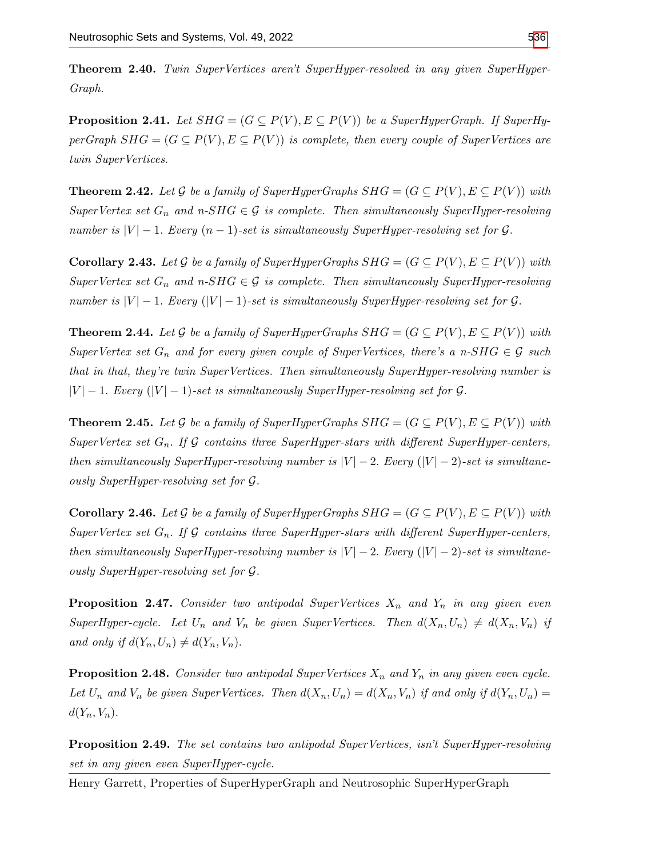Theorem 2.40. Twin SuperVertices aren't SuperHyper-resolved in any given SuperHyper-Graph.

**Proposition 2.41.** Let  $SHG = (G \subseteq P(V), E \subseteq P(V))$  be a SuperHyperGraph. If SuperHyperGraph  $SHG = (G \subseteq P(V), E \subseteq P(V))$  is complete, then every couple of SuperVertices are twin SuperVertices.

**Theorem 2.42.** Let G be a family of SuperHyperGraphs  $SHG = (G \subseteq P(V), E \subseteq P(V))$  with SuperVertex set  $G_n$  and  $n-SHG \in \mathcal{G}$  is complete. Then simultaneously SuperHyper-resolving number is  $|V| - 1$ . Every  $(n - 1)$ -set is simultaneously SuperHyper-resolving set for G.

**Corollary 2.43.** Let G be a family of SuperHyperGraphs  $SHG = (G \subseteq P(V), E \subseteq P(V))$  with SuperVertex set  $G_n$  and  $n-SHG \in \mathcal{G}$  is complete. Then simultaneously SuperHyper-resolving number is  $|V| - 1$ . Every  $(|V| - 1)$ -set is simultaneously SuperHyper-resolving set for G.

**Theorem 2.44.** Let G be a family of SuperHyperGraphs  $SHG = (G \subseteq P(V), E \subseteq P(V))$  with SuperVertex set  $G_n$  and for every given couple of SuperVertices, there's a n-SHG  $\in \mathcal{G}$  such that in that, they're twin SuperVertices. Then simultaneously SuperHyper-resolving number is  $|V| - 1$ . Every  $(|V| - 1)$ -set is simultaneously SuperHyper-resolving set for G.

**Theorem 2.45.** Let G be a family of SuperHyperGraphs  $SHG = (G \subseteq P(V), E \subseteq P(V))$  with SuperVertex set  $G_n$ . If G contains three SuperHyper-stars with different SuperHyper-centers, then simultaneously SuperHyper-resolving number is  $|V| - 2$ . Every  $(|V| - 2)$ -set is simultaneously SuperHyper-resolving set for G.

**Corollary 2.46.** Let G be a family of SuperHyperGraphs  $SHG = (G \subseteq P(V), E \subseteq P(V))$  with SuperVertex set  $G_n$ . If G contains three SuperHyper-stars with different SuperHyper-centers, then simultaneously SuperHyper-resolving number is  $|V| - 2$ . Every  $(|V| - 2)$ -set is simultaneously SuperHyper-resolving set for G.

**Proposition 2.47.** Consider two antipodal SuperVertices  $X_n$  and  $Y_n$  in any given even SuperHyper-cycle. Let  $U_n$  and  $V_n$  be given SuperVertices. Then  $d(X_n, U_n) \neq d(X_n, V_n)$  if and only if  $d(Y_n, U_n) \neq d(Y_n, V_n)$ .

**Proposition 2.48.** Consider two antipodal SuperVertices  $X_n$  and  $Y_n$  in any given even cycle. Let  $U_n$  and  $V_n$  be given SuperVertices. Then  $d(X_n, U_n) = d(X_n, V_n)$  if and only if  $d(Y_n, U_n) =$  $d(Y_n, V_n)$ .

Proposition 2.49. The set contains two antipodal SuperVertices, isn't SuperHyper-resolving set in any given even SuperHyper-cycle.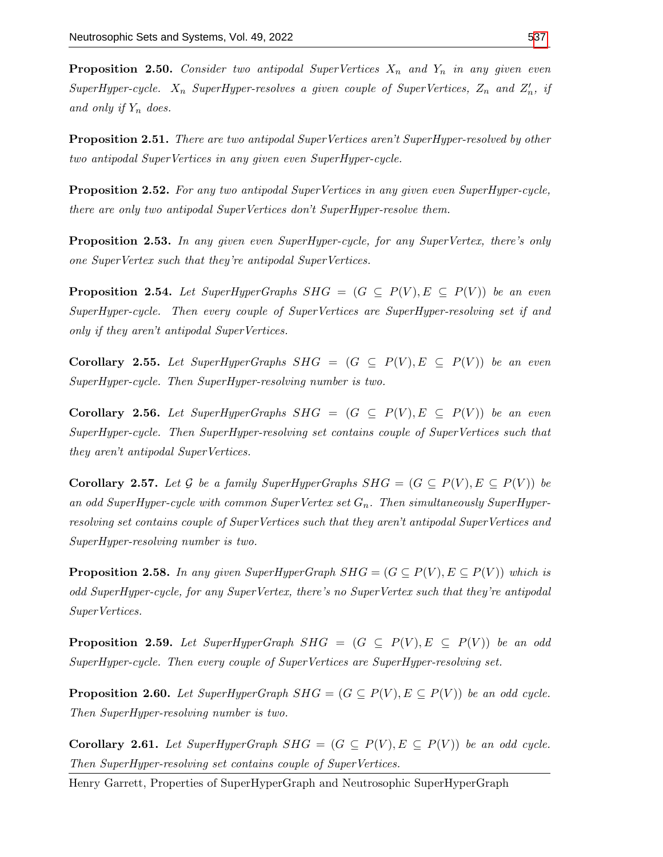**Proposition 2.50.** Consider two antipodal SuperVertices  $X_n$  and  $Y_n$  in any given even SuperHyper-cycle.  $X_n$  SuperHyper-resolves a given couple of SuperVertices,  $Z_n$  and  $Z'_n$ , if and only if  $Y_n$  does.

Proposition 2.51. There are two antipodal SuperVertices aren't SuperHyper-resolved by other two antipodal SuperVertices in any given even SuperHyper-cycle.

Proposition 2.52. For any two antipodal SuperVertices in any given even SuperHyper-cycle, there are only two antipodal SuperVertices don't SuperHyper-resolve them.

**Proposition 2.53.** In any given even SuperHyper-cycle, for any SuperVertex, there's only one SuperVertex such that they're antipodal SuperVertices.

**Proposition 2.54.** Let SuperHyperGraphs SHG =  $(G \subseteq P(V), E \subseteq P(V))$  be an even SuperHyper-cycle. Then every couple of SuperVertices are SuperHyper-resolving set if and only if they aren't antipodal SuperVertices.

Corollary 2.55. Let SuperHyperGraphs  $SHG = (G \subseteq P(V), E \subseteq P(V))$  be an even SuperHyper-cycle. Then SuperHyper-resolving number is two.

Corollary 2.56. Let SuperHyperGraphs  $SHG = (G \subseteq P(V), E \subseteq P(V))$  be an even SuperHyper-cycle. Then SuperHyper-resolving set contains couple of SuperVertices such that they aren't antipodal SuperVertices.

**Corollary 2.57.** Let G be a family SuperHyperGraphs  $SHG = (G \subseteq P(V), E \subseteq P(V))$  be an odd SuperHyper-cycle with common SuperVertex set  $G_n$ . Then simultaneously SuperHyperresolving set contains couple of SuperVertices such that they aren't antipodal SuperVertices and SuperHyper-resolving number is two.

**Proposition 2.58.** In any given SuperHyperGraph  $SHG = (G \subseteq P(V), E \subseteq P(V))$  which is odd SuperHyper-cycle, for any SuperVertex, there's no SuperVertex such that they're antipodal SuperVertices.

**Proposition 2.59.** Let SuperHyperGraph SHG =  $(G \subseteq P(V), E \subseteq P(V))$  be an odd SuperHyper-cycle. Then every couple of SuperVertices are SuperHyper-resolving set.

**Proposition 2.60.** Let SuperHyperGraph  $SHG = (G \subseteq P(V), E \subseteq P(V))$  be an odd cycle. Then SuperHyper-resolving number is two.

**Corollary 2.61.** Let SuperHyperGraph  $SHG = (G \subseteq P(V), E \subseteq P(V))$  be an odd cycle. Then SuperHyper-resolving set contains couple of SuperVertices.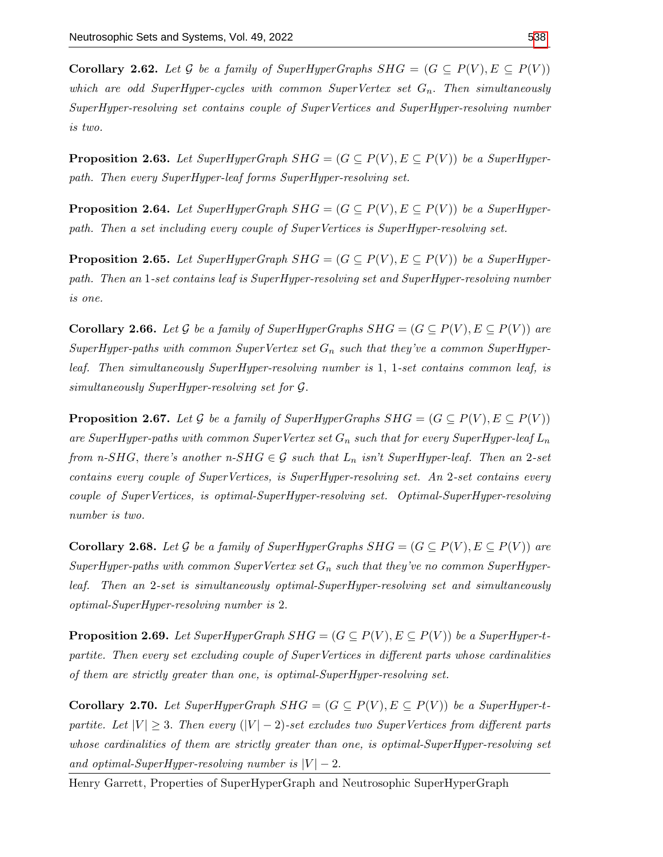**Corollary 2.62.** Let G be a family of SuperHyperGraphs  $SHG = (G \subseteq P(V), E \subseteq P(V))$ which are odd SuperHyper-cycles with common SuperVertex set  $G_n$ . Then simultaneously SuperHyper-resolving set contains couple of SuperVertices and SuperHyper-resolving number is two.

**Proposition 2.63.** Let SuperHyperGraph  $SHG = (G \subseteq P(V), E \subseteq P(V))$  be a SuperHyperpath. Then every SuperHyper-leaf forms SuperHyper-resolving set.

**Proposition 2.64.** Let SuperHyperGraph  $SHG = (G \subseteq P(V), E \subseteq P(V))$  be a SuperHyperpath. Then a set including every couple of SuperVertices is SuperHyper-resolving set.

**Proposition 2.65.** Let SuperHyperGraph  $SHG = (G \subseteq P(V), E \subseteq P(V))$  be a SuperHyperpath. Then an 1-set contains leaf is SuperHyper-resolving set and SuperHyper-resolving number is one.

**Corollary 2.66.** Let G be a family of SuperHyperGraphs  $SHG = (G \subseteq P(V), E \subseteq P(V))$  are SuperHyper-paths with common SuperVertex set  $G_n$  such that they've a common SuperHyperleaf. Then simultaneously SuperHyper-resolving number is 1, 1-set contains common leaf, is simultaneously SuperHyper-resolving set for G.

**Proposition 2.67.** Let G be a family of SuperHyperGraphs  $SHG = (G \subseteq P(V), E \subseteq P(V))$ are SuperHyper-paths with common SuperVertex set  $G_n$  such that for every SuperHyper-leaf  $L_n$ from n-SHG, there's another n-SHG  $\in \mathcal{G}$  such that  $L_n$  isn't SuperHyper-leaf. Then an 2-set contains every couple of SuperVertices, is SuperHyper-resolving set. An 2-set contains every couple of SuperVertices, is optimal-SuperHyper-resolving set. Optimal-SuperHyper-resolving number is two.

**Corollary 2.68.** Let G be a family of SuperHyperGraphs  $SHG = (G \subseteq P(V), E \subseteq P(V))$  are SuperHyper-paths with common SuperVertex set  $G_n$  such that they've no common SuperHyperleaf. Then an 2-set is simultaneously optimal-SuperHyper-resolving set and simultaneously optimal-SuperHyper-resolving number is 2.

**Proposition 2.69.** Let SuperHyperGraph  $SHG = (G \subseteq P(V), E \subseteq P(V))$  be a SuperHyper-tpartite. Then every set excluding couple of SuperVertices in different parts whose cardinalities of them are strictly greater than one, is optimal-SuperHyper-resolving set.

**Corollary 2.70.** Let SuperHyperGraph  $SHG = (G \subseteq P(V), E \subseteq P(V))$  be a SuperHyper-tpartite. Let  $|V| \geq 3$ . Then every  $(|V| - 2)$ -set excludes two SuperVertices from different parts whose cardinalities of them are strictly greater than one, is optimal-SuperHyper-resolving set and optimal-SuperHyper-resolving number is  $|V| - 2$ .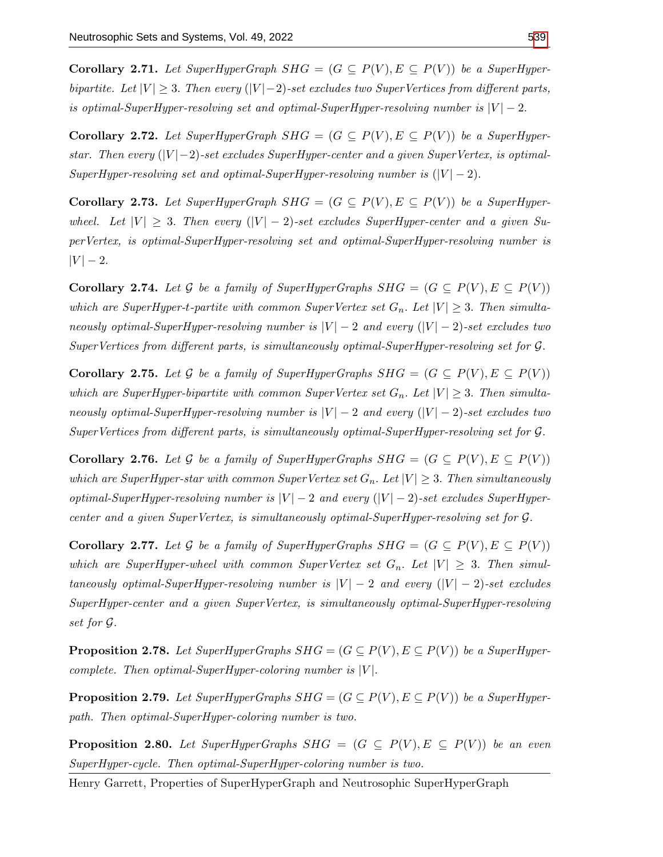**Corollary 2.71.** Let SuperHyperGraph  $SHG = (G \subseteq P(V), E \subseteq P(V))$  be a SuperHyperbipartite. Let  $|V| \geq 3$ . Then every  $(|V| - 2)$ -set excludes two SuperVertices from different parts, is optimal-SuperHyper-resolving set and optimal-SuperHyper-resolving number is  $|V| - 2$ .

**Corollary 2.72.** Let SuperHyperGraph  $SHG = (G \subseteq P(V), E \subseteq P(V))$  be a SuperHyperstar. Then every  $(|V| - 2)$ -set excludes SuperHyper-center and a given SuperVertex, is optimal-SuperHyper-resolving set and optimal-SuperHyper-resolving number is  $(|V| - 2)$ .

**Corollary 2.73.** Let SuperHyperGraph  $SHG = (G \subseteq P(V), E \subseteq P(V))$  be a SuperHyperwheel. Let  $|V| \geq 3$ . Then every  $(|V| - 2)$ -set excludes SuperHyper-center and a given SuperVertex, is optimal-SuperHyper-resolving set and optimal-SuperHyper-resolving number is  $|V| - 2.$ 

Corollary 2.74. Let G be a family of SuperHyperGraphs  $SHG = (G \subseteq P(V), E \subseteq P(V))$ which are SuperHyper-t-partite with common SuperVertex set  $G_n$ . Let  $|V| \geq 3$ . Then simultaneously optimal-SuperHyper-resolving number is  $|V| - 2$  and every  $(|V| - 2)$ -set excludes two SuperVertices from different parts, is simultaneously optimal-SuperHyper-resolving set for G.

**Corollary 2.75.** Let G be a family of SuperHyperGraphs  $SHG = (G \subseteq P(V), E \subseteq P(V))$ which are SuperHyper-bipartite with common SuperVertex set  $G_n$ . Let  $|V| \geq 3$ . Then simultaneously optimal-SuperHyper-resolving number is  $|V| - 2$  and every  $(|V| - 2)$ -set excludes two SuperVertices from different parts, is simultaneously optimal-SuperHyper-resolving set for G.

**Corollary 2.76.** Let G be a family of SuperHyperGraphs  $SHG = (G \subseteq P(V), E \subseteq P(V))$ which are SuperHyper-star with common SuperVertex set  $G_n$ . Let  $|V| \geq 3$ . Then simultaneously optimal-SuperHyper-resolving number is  $|V| - 2$  and every  $(|V| - 2)$ -set excludes SuperHypercenter and a given SuperVertex, is simultaneously optimal-SuperHyper-resolving set for G.

**Corollary 2.77.** Let G be a family of SuperHyperGraphs  $SHG = (G \subseteq P(V), E \subseteq P(V))$ which are SuperHyper-wheel with common SuperVertex set  $G_n$ . Let  $|V| \geq 3$ . Then simultaneously optimal-SuperHyper-resolving number is  $|V| - 2$  and every  $(|V| - 2)$ -set excludes SuperHyper-center and a given SuperVertex, is simultaneously optimal-SuperHyper-resolving set for G.

**Proposition 2.78.** Let SuperHyperGraphs  $SHG = (G \subseteq P(V), E \subseteq P(V))$  be a SuperHypercomplete. Then optimal-SuperHyper-coloring number is  $|V|$ .

**Proposition 2.79.** Let SuperHyperGraphs  $SHG = (G \subseteq P(V), E \subseteq P(V))$  be a SuperHyperpath. Then optimal-SuperHyper-coloring number is two.

**Proposition 2.80.** Let SuperHyperGraphs SHG =  $(G \subseteq P(V), E \subseteq P(V))$  be an even SuperHyper-cycle. Then optimal-SuperHyper-coloring number is two.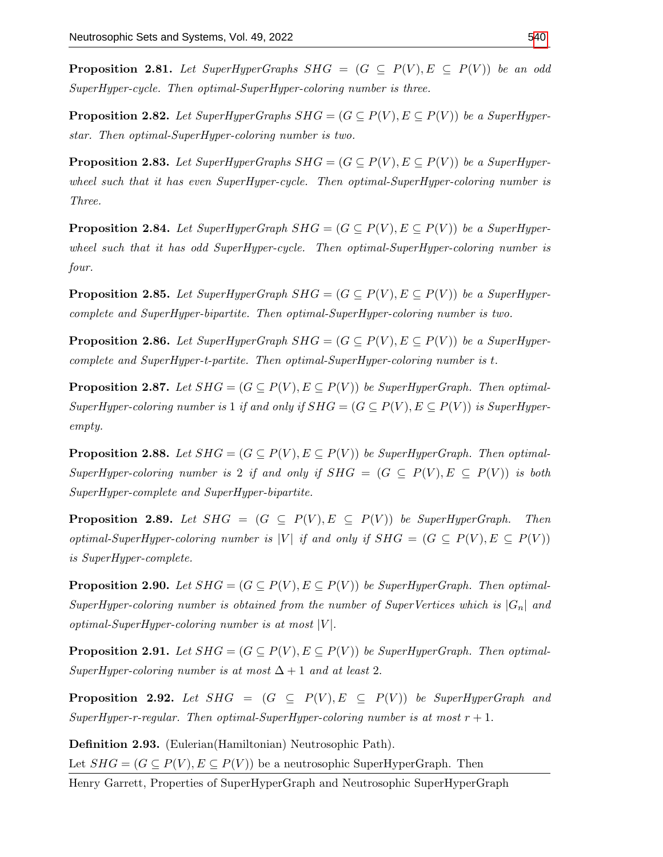**Proposition 2.81.** Let SuperHyperGraphs SHG =  $(G \subseteq P(V), E \subseteq P(V))$  be an odd SuperHyper-cycle. Then optimal-SuperHyper-coloring number is three.

**Proposition 2.82.** Let SuperHyperGraphs  $SHG = (G \subseteq P(V), E \subseteq P(V))$  be a SuperHyperstar. Then optimal-SuperHyper-coloring number is two.

**Proposition 2.83.** Let SuperHyperGraphs  $SHG = (G \subseteq P(V), E \subseteq P(V))$  be a SuperHyperwheel such that it has even SuperHyper-cycle. Then optimal-SuperHyper-coloring number is Three.

**Proposition 2.84.** Let SuperHyperGraph  $SHG = (G \subseteq P(V), E \subseteq P(V))$  be a SuperHyperwheel such that it has odd SuperHyper-cycle. Then optimal-SuperHyper-coloring number is four.

**Proposition 2.85.** Let SuperHyperGraph  $SHG = (G \subseteq P(V), E \subseteq P(V))$  be a SuperHypercomplete and SuperHyper-bipartite. Then optimal-SuperHyper-coloring number is two.

**Proposition 2.86.** Let SuperHyperGraph  $SHG = (G \subseteq P(V), E \subseteq P(V))$  be a SuperHypercomplete and SuperHyper-t-partite. Then optimal-SuperHyper-coloring number is t.

**Proposition 2.87.** Let  $SHG = (G \subseteq P(V), E \subseteq P(V))$  be SuperHyperGraph. Then optimal-SuperHyper-coloring number is 1 if and only if  $SHG = (G \subseteq P(V), E \subseteq P(V))$  is SuperHyperempty.

**Proposition 2.88.** Let  $SHG = (G \subseteq P(V), E \subseteq P(V))$  be SuperHyperGraph. Then optimal-SuperHyper-coloring number is 2 if and only if  $SHG = (G \subseteq P(V), E \subseteq P(V))$  is both SuperHyper-complete and SuperHyper-bipartite.

**Proposition 2.89.** Let  $SHG = (G \subseteq P(V), E \subseteq P(V))$  be SuperHyperGraph. Then optimal-SuperHyper-coloring number is |V| if and only if  $SHG = (G \subseteq P(V), E \subseteq P(V))$ is SuperHyper-complete.

**Proposition 2.90.** Let  $SHG = (G \subseteq P(V), E \subseteq P(V))$  be SuperHyperGraph. Then optimal-SuperHyper-coloring number is obtained from the number of SuperVertices which is  $|G_n|$  and optimal-SuperHyper-coloring number is at most  $|V|$ .

**Proposition 2.91.** Let  $SHG = (G \subseteq P(V), E \subseteq P(V))$  be SuperHyperGraph. Then optimal-SuperHyper-coloring number is at most  $\Delta + 1$  and at least 2.

**Proposition 2.92.** Let  $SHG = (G \subseteq P(V), E \subseteq P(V))$  be SuperHyperGraph and SuperHyper-r-regular. Then optimal-SuperHyper-coloring number is at most  $r + 1$ .

Definition 2.93. (Eulerian(Hamiltonian) Neutrosophic Path). Let  $SHG = (G \subseteq P(V), E \subseteq P(V))$  be a neutrosophic SuperHyperGraph. Then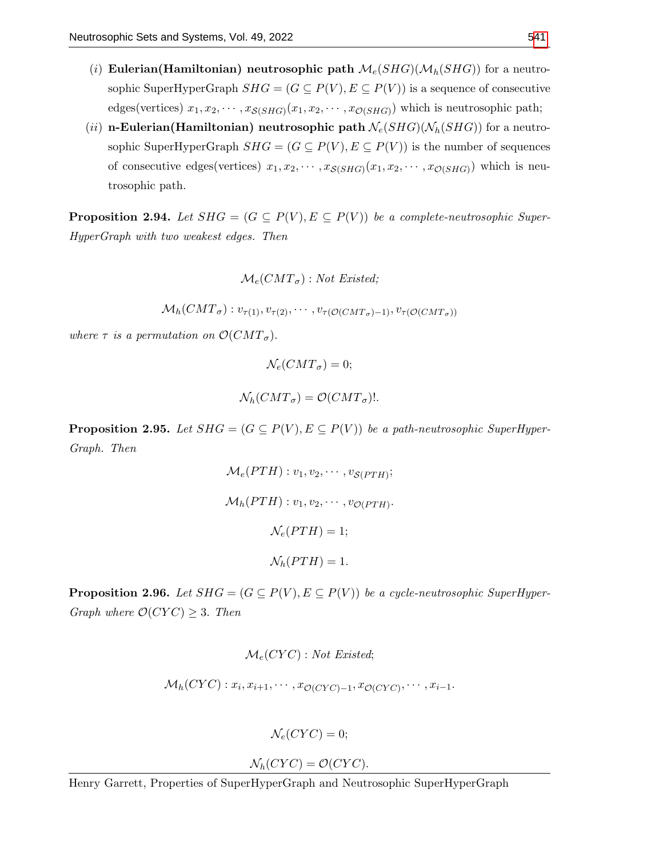- (i) Eulerian(Hamiltonian) neutrosophic path  $\mathcal{M}_e(SHG)(\mathcal{M}_h(SHG))$  for a neutrosophic SuperHyperGraph  $SHG = (G \subseteq P(V), E \subseteq P(V))$  is a sequence of consecutive edges(vertices)  $x_1, x_2, \cdots, x_{\mathcal{S}(SHG)}(x_1, x_2, \cdots, x_{\mathcal{O}(SHG)})$  which is neutrosophic path;
- (ii) n-Eulerian(Hamiltonian) neutrosophic path  $\mathcal{N}_e(SHG)(\mathcal{N}_h(SHG))$  for a neutrosophic SuperHyperGraph  $SHG = (G \subseteq P(V), E \subseteq P(V))$  is the number of sequences of consecutive edges(vertices)  $x_1, x_2, \cdots, x_{S(SHG)}(x_1, x_2, \cdots, x_{S(SHG)})$  which is neutrosophic path.

**Proposition 2.94.** Let  $SHG = (G \subseteq P(V), E \subseteq P(V))$  be a complete-neutrosophic Super-HyperGraph with two weakest edges. Then

 $\mathcal{M}_e(CMT_{\sigma}):$  Not Existed;

 $\mathcal{M}_h(CMT_\sigma): v_{\tau(1)}, v_{\tau(2)}, \cdots, v_{\tau(\mathcal{O}(CMT_\sigma)-1)}, v_{\tau(\mathcal{O}(CMT_\sigma))})$ 

where  $\tau$  is a permutation on  $\mathcal{O}(CMT_{\sigma}).$ 

 $\mathcal{N}_e(CMT_{\sigma})=0;$  $\mathcal{N}_h(CMT_{\sigma}) = \mathcal{O}(CMT_{\sigma})!$ .

**Proposition 2.95.** Let  $SHG = (G \subseteq P(V), E \subseteq P(V))$  be a path-neutrosophic SuperHyper-Graph. Then

$$
\mathcal{M}_e(PTH): v_1, v_2, \cdots, v_{\mathcal{S}(PTH)};
$$
  

$$
\mathcal{M}_h(PTH): v_1, v_2, \cdots, v_{\mathcal{O}(PTH)}.
$$
  

$$
\mathcal{N}_e(PTH) = 1;
$$
  

$$
\mathcal{N}_h(PTH) = 1.
$$

**Proposition 2.96.** Let  $SHG = (G \subseteq P(V), E \subseteq P(V))$  be a cycle-neutrosophic SuperHyper-Graph where  $\mathcal{O}(CYC) \geq 3$ . Then

$$
{\mathcal M}_e(CYC): Not\; Existed;
$$

$$
\mathcal{M}_h(CYC): x_i, x_{i+1}, \cdots, x_{\mathcal{O}(CYC)-1}, x_{\mathcal{O}(CYC)}, \cdots, x_{i-1}.
$$

 $\mathcal{N}_e(CYC) = 0;$ 

 $\mathcal{N}_h(CYC) = \mathcal{O}(CYC).$ 

Henry Garrett, Properties of SuperHyperGraph and Neutrosophic SuperHyperGraph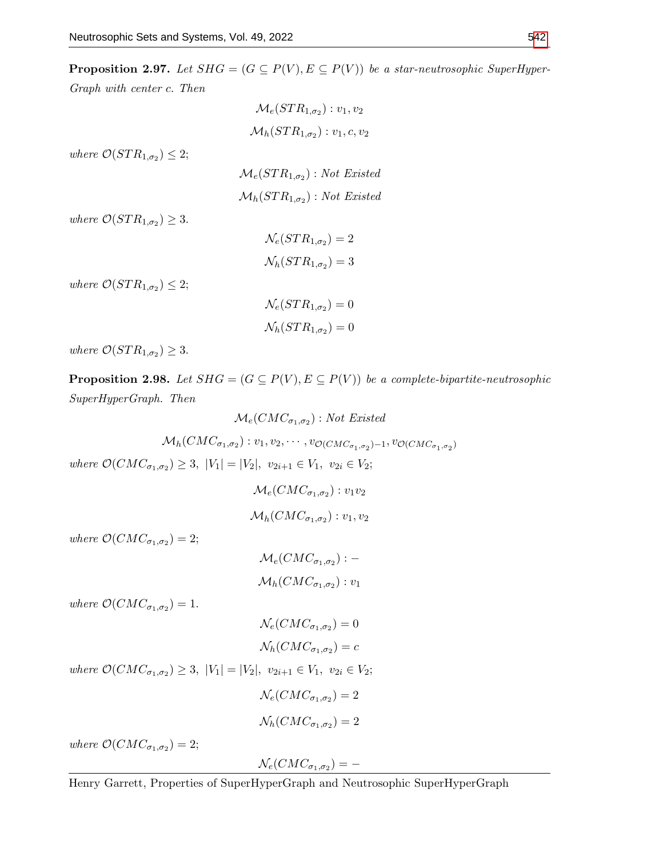**Proposition 2.97.** Let  $SHG = (G \subseteq P(V), E \subseteq P(V))$  be a star-neutrosophic SuperHyper-

Graph with center c. Then

$$
\mathcal{M}_e(STR_{1,\sigma_2}) : v_1, v_2
$$
\n
$$
\mathcal{M}_h(STR_{1,\sigma_2}) : v_1, c, v_2
$$
\nwhere  $\mathcal{O}(STR_{1,\sigma_2}) \leq 2$ ;\n
$$
\mathcal{M}_e(STR_{1,\sigma_2}) : Not\;Existed
$$
\n
$$
\mathcal{M}_h(STR_{1,\sigma_2}) : Not\;Existed
$$
\nwhere  $\mathcal{O}(STR_{1,\sigma_2}) \geq 3$ .  
\n
$$
\mathcal{N}_e(STR_{1,\sigma_2}) = 2
$$

where  $\mathcal{O}(STR_{1,\sigma_2}) \leq 2;$ 

$$
\mathcal{N}_e(STR_{1,\sigma_2}) = 0
$$
  

$$
\mathcal{N}_h(STR_{1,\sigma_2}) = 0
$$

 $\mathcal{N}_h(STR_{1,\sigma_2})=3$ 

where  $\mathcal{O}(STR_{1,\sigma_2}) \geq 3$ .

**Proposition 2.98.** Let  $SHG = (G \subseteq P(V), E \subseteq P(V))$  be a complete-bipartite-neutrosophic SuperHyperGraph. Then

$$
\mathcal{M}_e(CMC_{\sigma_1,\sigma_2}): Not\ Existed
$$

 $\mathcal{M}_h(CMC_{\sigma_1,\sigma_2}): v_1,v_2,\cdots,v_{\mathcal{O}(CMC_{\sigma_1,\sigma_2})-1},v_{\mathcal{O}(CMC_{\sigma_1,\sigma_2})}$ 

where  $\mathcal{O}(CMC_{\sigma_1,\sigma_2}) \geq 3$ ,  $|V_1| = |V_2|$ ,  $v_{2i+1} \in V_1$ ,  $v_{2i} \in V_2$ ;

$$
\mathcal{M}_e(CMC_{\sigma_1,\sigma_2}): v_1v_2
$$
  

$$
\mathcal{M}_h(CMC_{\sigma_1,\sigma_2}): v_1, v_2
$$

where  $\mathcal{O}(CMC_{\sigma_1,\sigma_2}) = 2;$ 

$$
\mathcal{M}_e(CMC_{\sigma_1,\sigma_2}) : -
$$

$$
\mathcal{M}_h(CMC_{\sigma_1,\sigma_2}) : v_1
$$

where  $\mathcal{O}(CMC_{\sigma_1,\sigma_2}) = 1$ .

$$
\mathcal{N}_e(CMC_{\sigma_1,\sigma_2}) = 0
$$
  

$$
\mathcal{N}_h(CMC_{\sigma_1,\sigma_2}) = c
$$

where  $\mathcal{O}(CMC_{\sigma_1,\sigma_2}) \geq 3$ ,  $|V_1| = |V_2|$ ,  $v_{2i+1} \in V_1$ ,  $v_{2i} \in V_2$ ;

$$
\mathcal{N}_e(CMC_{\sigma_1,\sigma_2}) = 2
$$
  

$$
\mathcal{N}_h(CMC_{\sigma_1,\sigma_2}) = 2
$$

where  $\mathcal{O}(CMC_{\sigma_1,\sigma_2}) = 2;$ 

 $\mathcal{N}_{e}(CMC_{\sigma_{1},\sigma_{2}}) = -$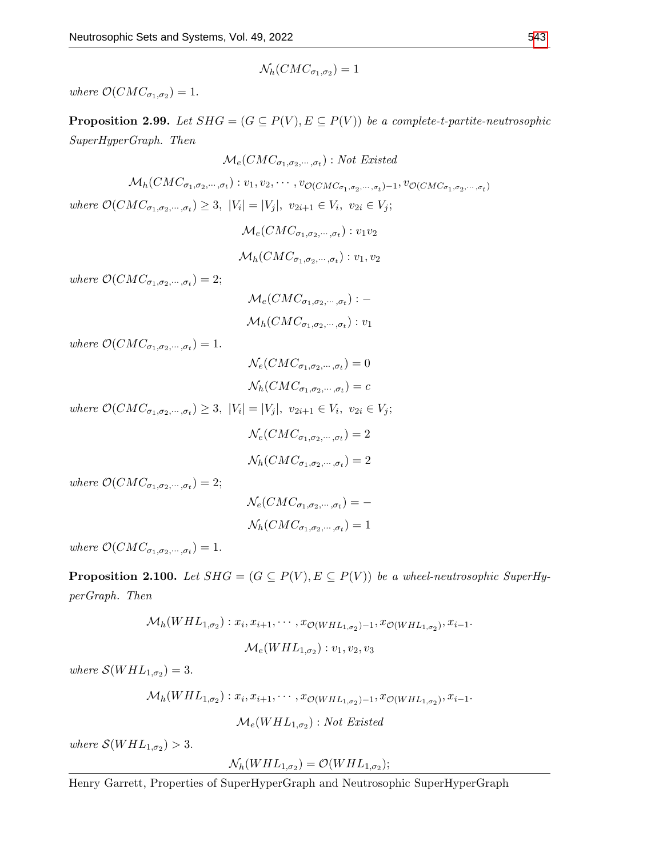$$
\mathcal{N}_h(CMC_{\sigma_1,\sigma_2})=1
$$

where  $\mathcal{O}(CMC_{\sigma_1,\sigma_2}) = 1$ .

**Proposition 2.99.** Let  $SHG = (G \subseteq P(V), E \subseteq P(V))$  be a complete-t-partite-neutrosophic SuperHyperGraph. Then

$$
\mathcal{M}_e(CMC_{\sigma_1,\sigma_2,\cdots,\sigma_t}): Not\ Existed
$$

$$
\mathcal{M}_h(CMC_{\sigma_1,\sigma_2,\cdots,\sigma_t}): v_1, v_2, \cdots, v_{\mathcal{O}(CMC_{\sigma_1,\sigma_2,\cdots,\sigma_t})-1}, v_{\mathcal{O}(CMC_{\sigma_1,\sigma_2,\cdots,\sigma_t})}
$$

$$
where\ \mathcal{O}(CMC_{\sigma_1,\sigma_2,\cdots,\sigma_t}) \geq 3, \ |V_i| = |V_j|, \ v_{2i+1} \in V_i, \ v_{2i} \in V_j;
$$

 $\mathcal{M}_{e}(CMC_{\sigma_{1},\sigma_{2},\cdots,\sigma_{t}}):v_{1}v_{2}$  $\mathcal{M}_h(CMC_{\sigma_1,\sigma_2,\cdots,\sigma_t}): v_1,v_2$ 

where  $\mathcal{O}(CMC_{\sigma_1,\sigma_2,\cdots,\sigma_t})=2;$ 

 ${\cal M}_e (CMC_{\sigma_1,\sigma_2,\cdots,\sigma_t}) : \mathcal{M}_h(CMC_{\sigma_1,\sigma_2,\cdots,\sigma_t}):v_1$ 

where  $\mathcal{O}(CMC_{\sigma_1,\sigma_2,\cdots,\sigma_t})=1.$ 

$$
\mathcal{N}_e(CMC_{\sigma_1, \sigma_2, \cdots, \sigma_t}) = 0
$$
  

$$
\mathcal{N}_h(CMC_{\sigma_1, \sigma_2, \cdots, \sigma_t}) = c
$$

where  $\mathcal{O}(CMC_{\sigma_1, \sigma_2, \cdots, \sigma_t}) \geq 3$ ,  $|V_i| = |V_j|$ ,  $v_{2i+1} \in V_i$ ,  $v_{2i} \in V_j$ ;

$$
\mathcal{N}_e(CMC_{\sigma_1,\sigma_2,\cdots,\sigma_t})=2
$$

$$
\mathcal{N}_h(CMC_{\sigma_1,\sigma_2,\cdots,\sigma_t})=2
$$

where  $\mathcal{O}(CMC_{\sigma_1,\sigma_2,\cdots,\sigma_t})=2;$ 

$$
\mathcal{N}_e(CMC_{\sigma_1,\sigma_2,\cdots,\sigma_t}) = -
$$

$$
\mathcal{N}_h(CMC_{\sigma_1,\sigma_2,\cdots,\sigma_t}) = 1
$$

where  $\mathcal{O}(CMC_{\sigma_1,\sigma_2,\cdots,\sigma_t})=1.$ 

**Proposition 2.100.** Let  $SHG = (G \subseteq P(V), E \subseteq P(V))$  be a wheel-neutrosophic SuperHyperGraph. Then

$$
\mathcal{M}_h(WHL_{1,\sigma_2}): x_i, x_{i+1}, \cdots, x_{\mathcal{O}(WHL_{1,\sigma_2})-1}, x_{\mathcal{O}(WHL_{1,\sigma_2})}, x_{i-1}.
$$
  

$$
\mathcal{M}_e(WHL_{1,\sigma_2}): v_1, v_2, v_3
$$

where  $\mathcal{S}(WHL_{1,\sigma_2})=3$ .

$$
\mathcal{M}_h(WHL_{1,\sigma_2}): x_i, x_{i+1}, \cdots, x_{\mathcal{O}(WHL_{1,\sigma_2})-1}, x_{\mathcal{O}(WHL_{1,\sigma_2})}, x_{i-1}.
$$

$$
\mathcal{M}_e(WHL_{1,\sigma_2}): Not\; Existed
$$

where  $S(WHL_{1,\sigma_2}) > 3$ .

$$
\mathcal{N}_h(WHL_{1,\sigma_2})=\mathcal{O}(WHL_{1,\sigma_2});
$$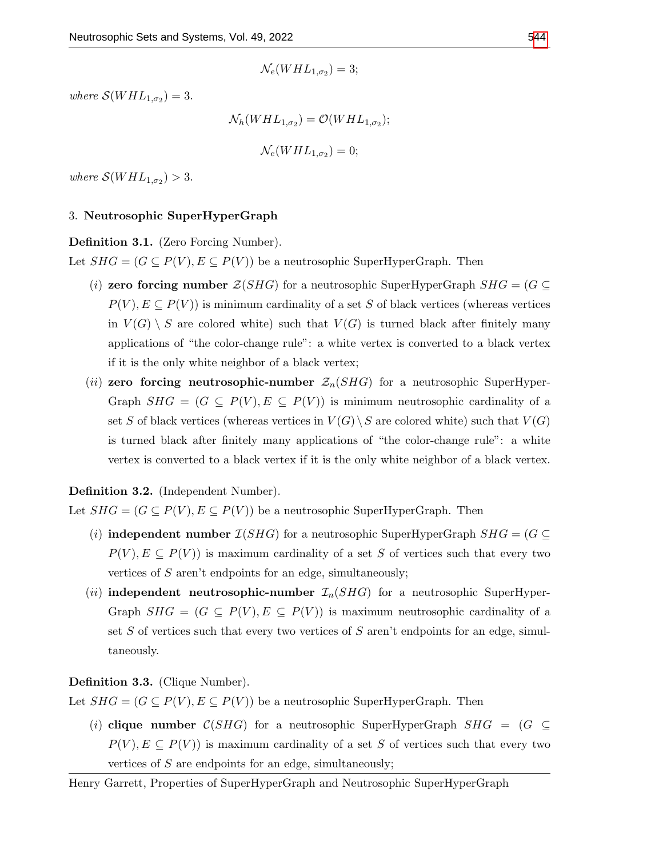where  $\mathcal{S}(WHL_{1,\sigma_2})=3$ .

$$
\mathcal{N}_h(WHL_{1,\sigma_2}) = \mathcal{O}(WHL_{1,\sigma_2});
$$
  

$$
\mathcal{N}_e(WHL_{1,\sigma_2}) = 0;
$$

where  $S(WHL_{1,\sigma_2}) > 3$ .

## 3. Neutrosophic SuperHyperGraph

## Definition 3.1. (Zero Forcing Number).

Let  $SHG = (G \subseteq P(V), E \subseteq P(V))$  be a neutrosophic SuperHyperGraph. Then

- (i) zero forcing number  $\mathcal{Z}(SHG)$  for a neutrosophic SuperHyperGraph  $SHG = (G \subseteq$  $P(V), E \subseteq P(V)$  is minimum cardinality of a set S of black vertices (whereas vertices in  $V(G) \setminus S$  are colored white) such that  $V(G)$  is turned black after finitely many applications of "the color-change rule": a white vertex is converted to a black vertex if it is the only white neighbor of a black vertex;
- (ii) zero forcing neutrosophic-number  $\mathcal{Z}_n(SHG)$  for a neutrosophic SuperHyper-Graph  $SHG = (G \subseteq P(V), E \subseteq P(V))$  is minimum neutrosophic cardinality of a set S of black vertices (whereas vertices in  $V(G) \backslash S$  are colored white) such that  $V(G)$ is turned black after finitely many applications of "the color-change rule": a white vertex is converted to a black vertex if it is the only white neighbor of a black vertex.

## Definition 3.2. (Independent Number).

Let  $SHG = (G \subseteq P(V), E \subseteq P(V))$  be a neutrosophic SuperHyperGraph. Then

- (i) **independent number**  $\mathcal{I}(SHG)$  for a neutrosophic SuperHyperGraph  $SHG = (G \subseteq$  $P(V), E \subseteq P(V)$  is maximum cardinality of a set S of vertices such that every two vertices of S aren't endpoints for an edge, simultaneously;
- (ii) independent neutrosophic-number  $\mathcal{I}_n(SHG)$  for a neutrosophic SuperHyper-Graph  $SHG = (G \subseteq P(V), E \subseteq P(V))$  is maximum neutrosophic cardinality of a set  $S$  of vertices such that every two vertices of  $S$  aren't endpoints for an edge, simultaneously.

## Definition 3.3. (Clique Number).

Let  $SHG = (G \subseteq P(V), E \subseteq P(V))$  be a neutrosophic SuperHyperGraph. Then

(i) clique number  $C(SHG)$  for a neutrosophic SuperHyperGraph  $SHG = (G \subseteq$  $P(V), E \subseteq P(V)$  is maximum cardinality of a set S of vertices such that every two vertices of  $S$  are endpoints for an edge, simultaneously;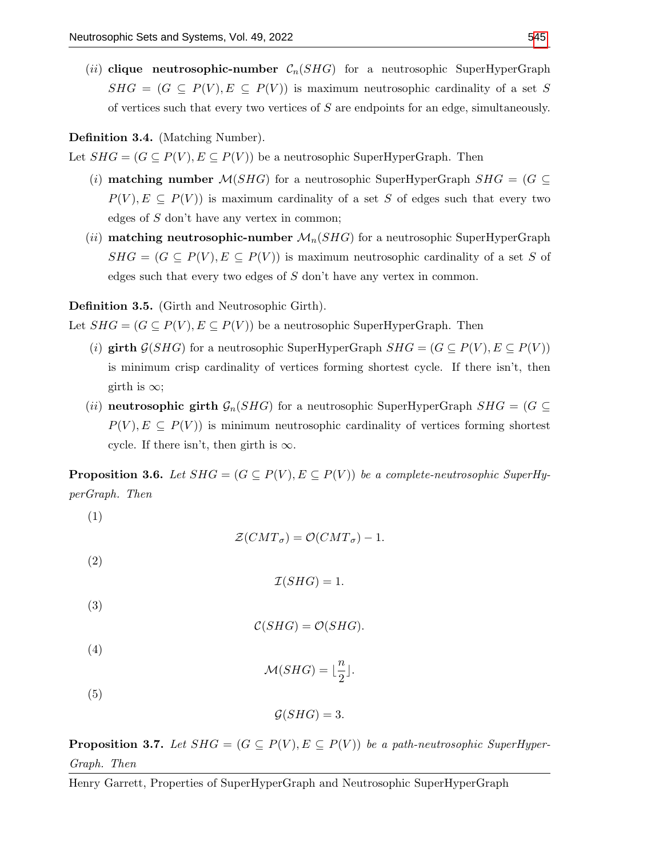(ii) clique neutrosophic-number  $C_n(SHG)$  for a neutrosophic SuperHyperGraph  $SHG = (G \subseteq P(V), E \subseteq P(V))$  is maximum neutrosophic cardinality of a set S of vertices such that every two vertices of S are endpoints for an edge, simultaneously.

## Definition 3.4. (Matching Number).

Let  $SHG = (G \subseteq P(V), E \subseteq P(V))$  be a neutrosophic SuperHyperGraph. Then

- (i) **matching number**  $\mathcal{M}(SHG)$  for a neutrosophic SuperHyperGraph  $SHG = (G \subseteq$  $P(V), E \subseteq P(V)$  is maximum cardinality of a set S of edges such that every two edges of  $S$  don't have any vertex in common;
- (ii) matching neutrosophic-number  $\mathcal{M}_n(SHG)$  for a neutrosophic SuperHyperGraph  $SHG = (G \subseteq P(V), E \subseteq P(V))$  is maximum neutrosophic cardinality of a set S of edges such that every two edges of S don't have any vertex in common.

Definition 3.5. (Girth and Neutrosophic Girth).

Let  $SHG = (G \subseteq P(V), E \subseteq P(V))$  be a neutrosophic SuperHyperGraph. Then

- (i) girth  $\mathcal{G}(SHG)$  for a neutrosophic SuperHyperGraph  $SHG = (G \subseteq P(V), E \subseteq P(V))$ is minimum crisp cardinality of vertices forming shortest cycle. If there isn't, then girth is  $\infty$ ;
- (ii) neutrosophic girth  $\mathcal{G}_n(SHG)$  for a neutrosophic SuperHyperGraph  $SHG = (G \subseteq$  $P(V), E \subseteq P(V)$  is minimum neutrosophic cardinality of vertices forming shortest cycle. If there isn't, then girth is  $\infty$ .

**Proposition 3.6.** Let  $SHG = (G \subseteq P(V), E \subseteq P(V))$  be a complete-neutrosophic SuperHyperGraph. Then

(1)

 $\mathcal{Z}(CMT_{\sigma}) = \mathcal{O}(CMT_{\sigma}) - 1.$ 

(2)

$$
\mathcal{I}(SHG) = 1.
$$

(3)

$$
\mathcal{C}(SHG) = \mathcal{O}(SHG).
$$

(4)

$$
\mathcal{M}(SHG) = \lfloor \frac{n}{2} \rfloor.
$$

(5)

$$
\mathcal{G}(SHG) = 3.
$$

**Proposition 3.7.** Let  $SHG = (G \subseteq P(V), E \subseteq P(V))$  be a path-neutrosophic SuperHyper-Graph. Then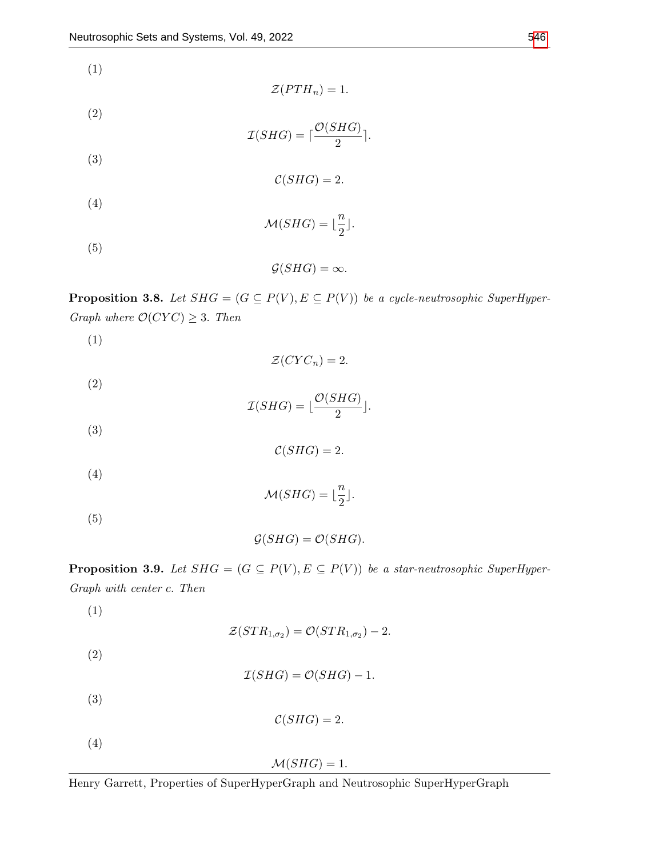(1)

$$
\mathcal{Z}(PTH_n)=1.
$$

(2)

 $\mathcal{I}(SHG) = \lceil \frac{\mathcal{O}(SHG)}{\Omega} \rceil$  $\frac{110}{2}$ .

(3)

 $C(SHG) = 2.$ 

(4)

 $\mathcal{M}(SHG) = \lfloor \frac{n}{2} \rfloor$  $\frac{1}{2}$ .

(5)

 $\mathcal{G}(SHG) = \infty$ .

**Proposition 3.8.** Let  $SHG = (G \subseteq P(V), E \subseteq P(V))$  be a cycle-neutrosophic SuperHyper-Graph where  $\mathcal{O}(CYC) \geq 3$ . Then

(1)

(2)

$$
\mathcal{I}(SHG) = \lfloor \frac{\mathcal{O}(SHG)}{2} \rfloor.
$$

 $\mathcal{Z}(CYC_n) = 2.$ 

(3)

 $C(SHG) = 2.$ 

(4)

 $\mathcal{M}(SHG) = \lfloor \frac{n}{2} \rfloor$  $\frac{n}{2}$ .

(5)

$$
\mathcal{G}(SHG) = \mathcal{O}(SHG).
$$

**Proposition 3.9.** Let  $SHG = (G \subseteq P(V), E \subseteq P(V))$  be a star-neutrosophic SuperHyper-Graph with center c. Then

(1)

$$
\mathcal{Z}(STR_{1,\sigma_2}) = \mathcal{O}(STR_{1,\sigma_2}) - 2.
$$

(2)

$$
\mathcal{I}(SHG) = \mathcal{O}(SHG) - 1.
$$

(3)

$$
\mathcal{C}(SHG) = 2.
$$

(4)

 $\mathcal{M}(SHG) = 1.$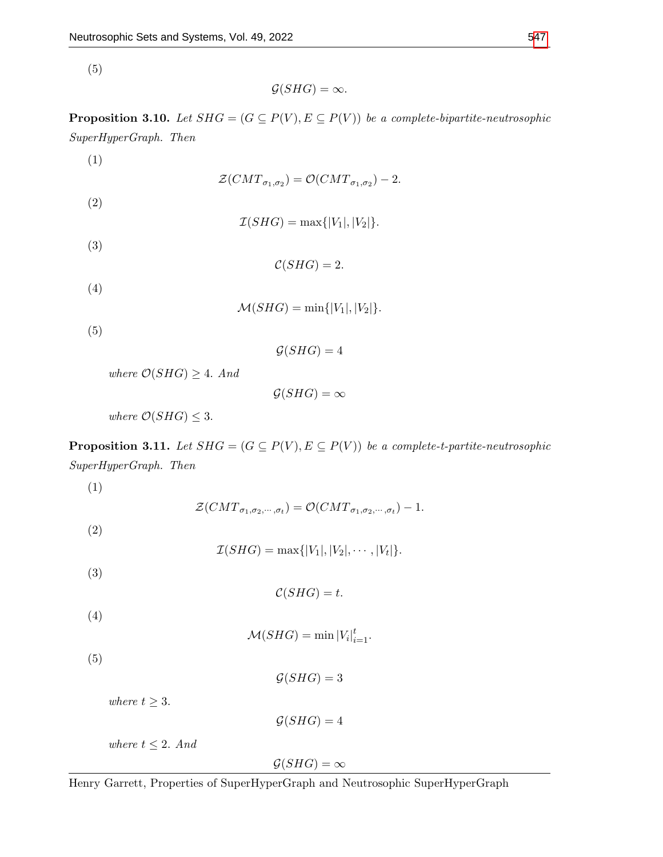(5)

 $\mathcal{G}(SHG) = \infty$ .

**Proposition 3.10.** Let  $SHG = (G \subseteq P(V), E \subseteq P(V))$  be a complete-bipartite-neutrosophic SuperHyperGraph. Then

(1)

 $\mathcal{Z}(CMT_{\sigma_1,\sigma_2})=\mathcal{O}(CMT_{\sigma_1,\sigma_2})-2.$ 

(2)

 $\mathcal{I}(SHG) = \max\{|V_1|, |V_2|\}.$ 

(3)

 $C(SHG) = 2.$ 

(4)

 $\mathcal{M}(SHG) = \min\{|V_1|, |V_2|\}.$ 

(5)

 $\mathcal{G}(SHG) = 4$ 

where  $\mathcal{O}(SHG) \geq 4$ . And

 $\mathcal{G}(SHG) = \infty$ 

where  $\mathcal{O}(SHG) \leq 3$ .

**Proposition 3.11.** Let  $SHG = (G \subseteq P(V), E \subseteq P(V))$  be a complete-t-partite-neutrosophic SuperHyperGraph. Then

(1)

 $\mathcal{Z}(CMT_{\sigma_1,\sigma_2,\cdots,\sigma_t})=\mathcal{O}(CMT_{\sigma_1,\sigma_2,\cdots,\sigma_t})-1.$ 

(2)

 $\mathcal{I}(SHG) = \max\{|V_1|, |V_2|, \cdots, |V_t|\}.$ 

(3)

 $C(SHG) = t.$ 

(4)

 $\mathcal{M}(SHG) = \min |V_i|_{i=1}^t$ .

(5)

 $\mathcal{G}(SHG) = 3$ 

where  $t \geq 3$ .

 $\mathcal{G}(SHG) = 4$ 

where  $t \leq 2$ . And

 $\mathcal{G}(SHG) = \infty$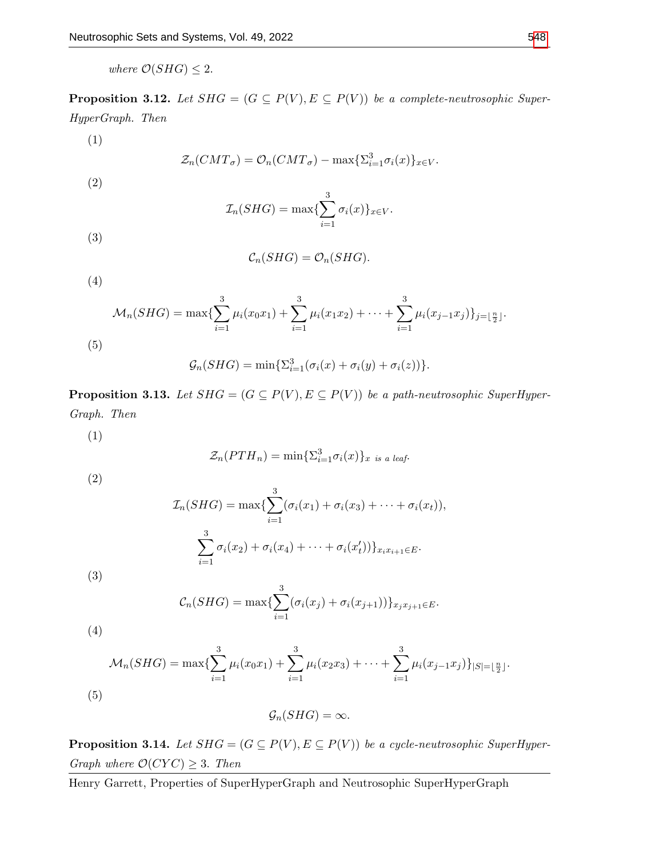where  $\mathcal{O}(SHG) \leq 2$ .

**Proposition 3.12.** Let  $SHG = (G \subseteq P(V), E \subseteq P(V))$  be a complete-neutrosophic Super-HyperGraph. Then

(1)

$$
\mathcal{Z}_n(CMT_{\sigma}) = \mathcal{O}_n(CMT_{\sigma}) - \max\{\Sigma_{i=1}^3 \sigma_i(x)\}_{x \in V}.
$$

(2)

$$
\mathcal{I}_n(SHG) = \max\{\sum_{i=1}^3 \sigma_i(x)\}_{x \in V}.
$$

(3)

$$
\mathcal{C}_n(SHG) = \mathcal{O}_n(SHG).
$$

(4)

$$
\mathcal{M}_n(SHG) = \max \{ \sum_{i=1}^3 \mu_i(x_0 x_1) + \sum_{i=1}^3 \mu_i(x_1 x_2) + \dots + \sum_{i=1}^3 \mu_i(x_{j-1} x_j) \}_{j=\lfloor \frac{n}{2} \rfloor}.
$$
\n(5)

$$
\mathcal{G}_n(SHG) = \min\{\Sigma_{i=1}^3(\sigma_i(x) + \sigma_i(y) + \sigma_i(z))\}.
$$

**Proposition 3.13.** Let  $SHG = (G \subseteq P(V), E \subseteq P(V))$  be a path-neutrosophic SuperHyper-Graph. Then

(1)

$$
\mathcal{Z}_n(PTH_n) = \min\{\Sigma_{i=1}^3 \sigma_i(x)\}_{x \text{ is a leaf}}.
$$

(2)

(3)

(4)

$$
\mathcal{I}_n(SHG) = \max \{ \sum_{i=1}^3 (\sigma_i(x_1) + \sigma_i(x_3) + \cdots + \sigma_i(x_t)),
$$
  

$$
\sum_{i=1}^3 \sigma_i(x_2) + \sigma_i(x_4) + \cdots + \sigma_i(x_t') \}_{x_ix_{i+1} \in E}.
$$

$$
C_n(SHG) = \max \{ \sum_{i=1}^3 (\sigma_i(x_j) + \sigma_i(x_{j+1})) \}_{x_j x_{j+1} \in E}.
$$

$$
\mathcal{M}_n(SHG) = \max\{\sum_{i=1}^3 \mu_i(x_0x_1) + \sum_{i=1}^3 \mu_i(x_2x_3) + \cdots + \sum_{i=1}^3 \mu_i(x_{j-1}x_j)\}_{|S| = \lfloor \frac{n}{2} \rfloor}.
$$
\n(5)

$$
\mathcal{G}_n(SHG) = \infty.
$$

**Proposition 3.14.** Let  $SHG = (G \subseteq P(V), E \subseteq P(V))$  be a cycle-neutrosophic SuperHyper-Graph where  $\mathcal{O}(CYC) \geq 3$ . Then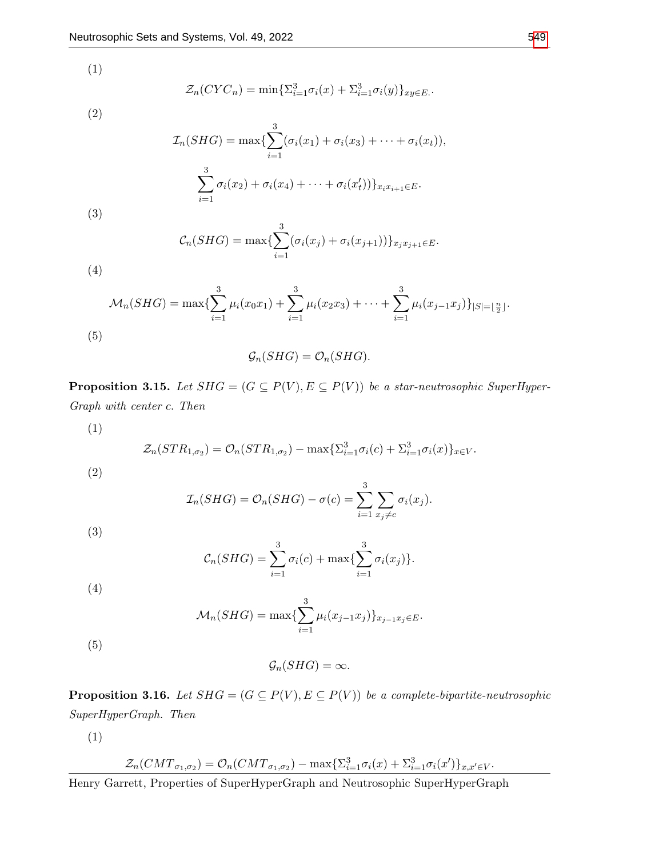(1)

$$
\mathcal{Z}_n(CYC_n) = \min \{ \sum_{i=1}^3 \sigma_i(x) + \sum_{i=1}^3 \sigma_i(y) \}_{xy \in E}.
$$

(2)

$$
\mathcal{I}_n(SHG) = \max \{ \sum_{i=1}^3 (\sigma_i(x_1) + \sigma_i(x_3) + \cdots + \sigma_i(x_t)),
$$
  

$$
\sum_{i=1}^3 \sigma_i(x_2) + \sigma_i(x_4) + \cdots + \sigma_i(x_t')) \}_{x_i x_{i+1} \in E}.
$$

$$
C_n(SHG) = \max \{ \sum_{i=1}^3 (\sigma_i(x_j) + \sigma_i(x_{j+1})) \}_{x_j x_{j+1} \in E}.
$$

(4)

(3)

$$
\mathcal{M}_n(SHG) = \max \{ \sum_{i=1}^3 \mu_i(x_0 x_1) + \sum_{i=1}^3 \mu_i(x_2 x_3) + \dots + \sum_{i=1}^3 \mu_i(x_{j-1} x_j) \}_{|S| = \lfloor \frac{n}{2} \rfloor}.
$$
\n(5)\n
$$
\mathcal{G}_n(SHG) = \mathcal{O}_n(SHG).
$$

**Proposition 3.15.** Let  $SHG = (G \subseteq P(V), E \subseteq P(V))$  be a star-neutrosophic SuperHyper-Graph with center c. Then

(1)  
\n
$$
\mathcal{Z}_n(STR_{1,\sigma_2}) = \mathcal{O}_n(STR_{1,\sigma_2}) - \max \{ \Sigma_{i=1}^3 \sigma_i(c) + \Sigma_{i=1}^3 \sigma_i(x) \}_{x \in V}.
$$
\n(2)

$$
\mathcal{I}_n(SHG) = \mathcal{O}_n(SHG) - \sigma(c) = \sum_{i=1}^3 \sum_{x_j \neq c} \sigma_i(x_j).
$$

(3)

$$
C_n(SHG) = \sum_{i=1}^3 \sigma_i(c) + \max\{\sum_{i=1}^3 \sigma_i(x_j)\}.
$$

$$
(4)
$$

$$
\mathcal{M}_n(SHG) = \max \{ \sum_{i=1}^3 \mu_i(x_{j-1}x_j) \}_{x_{j-1}x_j \in E}.
$$

(5)

$$
\mathcal{G}_n(SHG) = \infty.
$$

**Proposition 3.16.** Let  $SHG = (G \subseteq P(V), E \subseteq P(V))$  be a complete-bipartite-neutrosophic SuperHyperGraph. Then

(1)

$$
\mathcal{Z}_n(CMT_{\sigma_1,\sigma_2}) = O_n(CMT_{\sigma_1,\sigma_2}) - \max\{\Sigma_{i=1}^3 \sigma_i(x) + \Sigma_{i=1}^3 \sigma_i(x')\}_{x,x' \in V}.
$$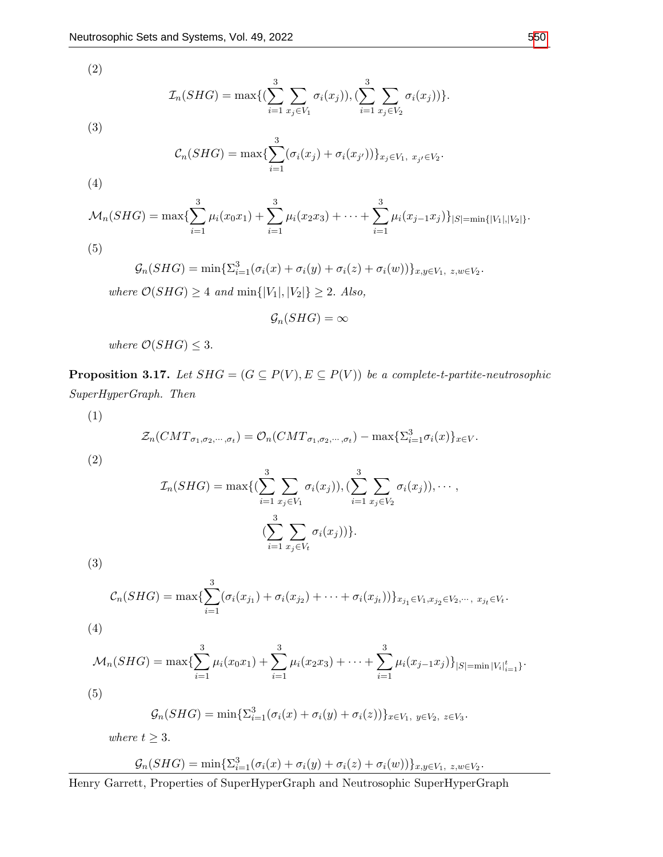(2)

$$
\mathcal{I}_n(SHG) = \max\{(\sum_{i=1}^3 \sum_{x_j \in V_1} \sigma_i(x_j)), (\sum_{i=1}^3 \sum_{x_j \in V_2} \sigma_i(x_j))\}.
$$

(3)

(4)

$$
C_n(SHG) = \max\{\sum_{i=1}^3 (\sigma_i(x_j) + \sigma_i(x_{j'}))\}_{x_j \in V_1, \ x_{j'} \in V_2}.
$$

$$
\mathcal{M}_n(SHG) = \max \{ \sum_{i=1}^3 \mu_i(x_0x_1) + \sum_{i=1}^3 \mu_i(x_2x_3) + \cdots + \sum_{i=1}^3 \mu_i(x_{j-1}x_j) \}_{|S| = \min\{|V_1|, |V_2|\}}.
$$

(5)

$$
\mathcal{G}_n(SHG) = \min\{\Sigma_{i=1}^3(\sigma_i(x) + \sigma_i(y) + \sigma_i(z) + \sigma_i(w))\}_{x,y \in V_1, \ z,w \in V_2}.
$$
  
where  $\mathcal{O}(SHG) \ge 4$  and  $\min\{|V_1|, |V_2|\} \ge 2$ . Also,

$$
\mathcal{G}_n(SHG)=\infty
$$

where  $\mathcal{O}(SHG) \leq 3$ .

**Proposition 3.17.** Let  $SHG = (G \subseteq P(V), E \subseteq P(V))$  be a complete-t-partite-neutrosophic SuperHyperGraph. Then

(1)

$$
\mathcal{Z}_n(CMT_{\sigma_1,\sigma_2,\cdots,\sigma_t})=\mathcal{O}_n(CMT_{\sigma_1,\sigma_2,\cdots,\sigma_t})-\max\{\Sigma_{i=1}^3\sigma_i(x)\}_{x\in V}.
$$

(2)

$$
\mathcal{I}_n(SHG) = \max\{(\sum_{i=1}^3 \sum_{x_j \in V_1} \sigma_i(x_j)), (\sum_{i=1}^3 \sum_{x_j \in V_2} \sigma_i(x_j)), \cdots, (\sum_{i=1}^3 \sum_{x_j \in V_t} \sigma_i(x_j))\}.
$$

(3)

$$
C_n(SHG) = \max \{ \sum_{i=1}^3 (\sigma_i(x_{j_1}) + \sigma_i(x_{j_2}) + \cdots + \sigma_i(x_{j_t})) \}_{x_{j_1} \in V_1, x_{j_2} \in V_2, \cdots, x_{j_t} \in V_t}.
$$
\n(4)

$$
\mathcal{M}_n(SHG) = \max\{\sum_{i=1}^3 \mu_i(x_0x_1) + \sum_{i=1}^3 \mu_i(x_2x_3) + \cdots + \sum_{i=1}^3 \mu_i(x_{j-1}x_j)\}_{|S| = \min |V_i|_{i=1}^t\}}.
$$

(5)

$$
\mathcal{G}_n(SHG) = \min \{ \sum_{i=1}^3 (\sigma_i(x) + \sigma_i(y) + \sigma_i(z)) \}_{x \in V_1, y \in V_2, z \in V_3}.
$$

where  $t \geq 3$ .

$$
\mathcal{G}_n(SHG) = \min\{\Sigma_{i=1}^3(\sigma_i(x) + \sigma_i(y) + \sigma_i(z) + \sigma_i(w))\}_{x,y \in V_1, \ z,w \in V_2}.
$$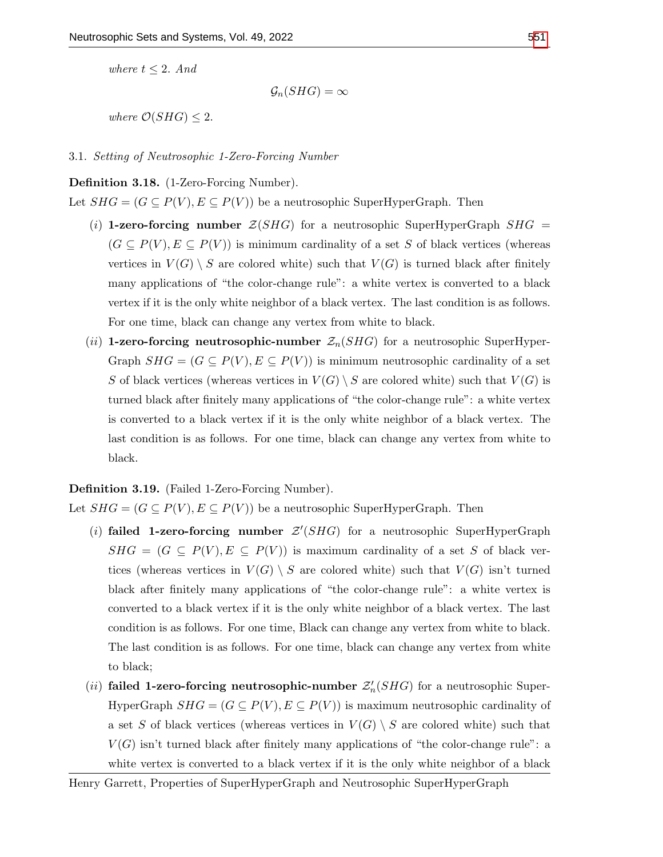where  $t \leq 2$ . And

 $\mathcal{G}_n(SHG) = \infty$ 

where  $\mathcal{O}(SHG) \leq 2$ .

#### 3.1. Setting of Neutrosophic 1-Zero-Forcing Number

## Definition 3.18. (1-Zero-Forcing Number).

Let  $SHG = (G \subseteq P(V), E \subseteq P(V))$  be a neutrosophic SuperHyperGraph. Then

- (i) 1-zero-forcing number  $\mathcal{Z}(SHG)$  for a neutrosophic SuperHyperGraph  $SHG =$  $(G \subseteq P(V), E \subseteq P(V))$  is minimum cardinality of a set S of black vertices (whereas vertices in  $V(G) \setminus S$  are colored white) such that  $V(G)$  is turned black after finitely many applications of "the color-change rule": a white vertex is converted to a black vertex if it is the only white neighbor of a black vertex. The last condition is as follows. For one time, black can change any vertex from white to black.
- (ii) 1-zero-forcing neutrosophic-number  $\mathcal{Z}_n(SHG)$  for a neutrosophic SuperHyper-Graph  $SHG = (G \subseteq P(V), E \subseteq P(V))$  is minimum neutrosophic cardinality of a set S of black vertices (whereas vertices in  $V(G) \setminus S$  are colored white) such that  $V(G)$  is turned black after finitely many applications of "the color-change rule": a white vertex is converted to a black vertex if it is the only white neighbor of a black vertex. The last condition is as follows. For one time, black can change any vertex from white to black.

## Definition 3.19. (Failed 1-Zero-Forcing Number).

Let  $SHG = (G \subseteq P(V), E \subseteq P(V))$  be a neutrosophic SuperHyperGraph. Then

- (i) failed 1-zero-forcing number  $Z'(SHG)$  for a neutrosophic SuperHyperGraph  $SHG = (G \subseteq P(V), E \subseteq P(V))$  is maximum cardinality of a set S of black vertices (whereas vertices in  $V(G) \setminus S$  are colored white) such that  $V(G)$  isn't turned black after finitely many applications of "the color-change rule": a white vertex is converted to a black vertex if it is the only white neighbor of a black vertex. The last condition is as follows. For one time, Black can change any vertex from white to black. The last condition is as follows. For one time, black can change any vertex from white to black;
- (*ii*) **failed 1-zero-forcing neutrosophic-number**  $\mathcal{Z}'_n(SHG)$  for a neutrosophic Super-HyperGraph  $SHG = (G \subseteq P(V), E \subseteq P(V))$  is maximum neutrosophic cardinality of a set S of black vertices (whereas vertices in  $V(G) \setminus S$  are colored white) such that  $V(G)$  isn't turned black after finitely many applications of "the color-change rule": a white vertex is converted to a black vertex if it is the only white neighbor of a black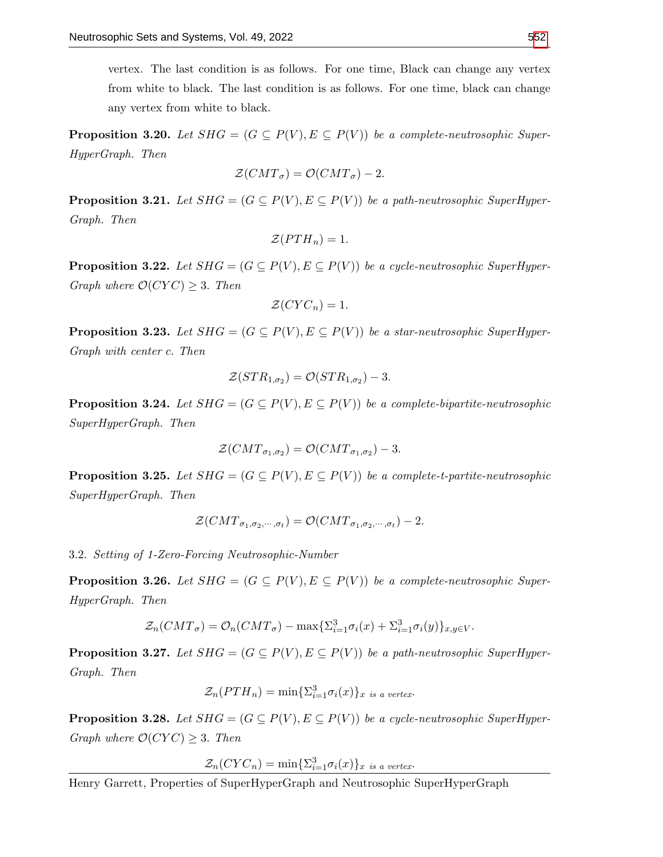vertex. The last condition is as follows. For one time, Black can change any vertex from white to black. The last condition is as follows. For one time, black can change any vertex from white to black.

**Proposition 3.20.** Let  $SHG = (G \subseteq P(V), E \subseteq P(V))$  be a complete-neutrosophic Super-HyperGraph. Then

$$
\mathcal{Z}(CMT_{\sigma}) = \mathcal{O}(CMT_{\sigma}) - 2.
$$

**Proposition 3.21.** Let  $SHG = (G \subseteq P(V), E \subseteq P(V))$  be a path-neutrosophic SuperHyper-Graph. Then

$$
\mathcal{Z}(PTH_n)=1.
$$

**Proposition 3.22.** Let  $SHG = (G \subseteq P(V), E \subseteq P(V))$  be a cycle-neutrosophic SuperHyper-Graph where  $\mathcal{O}(CYC) \geq 3$ . Then

$$
\mathcal{Z}(CYC_n) = 1.
$$

**Proposition 3.23.** Let  $SHG = (G \subseteq P(V), E \subseteq P(V))$  be a star-neutrosophic SuperHyper-Graph with center c. Then

$$
\mathcal{Z}(STR_{1,\sigma_2}) = \mathcal{O}(STR_{1,\sigma_2}) - 3.
$$

**Proposition 3.24.** Let  $SHG = (G \subseteq P(V), E \subseteq P(V))$  be a complete-bipartite-neutrosophic SuperHyperGraph. Then

$$
\mathcal{Z}(CMT_{\sigma_1,\sigma_2}) = \mathcal{O}(CMT_{\sigma_1,\sigma_2}) - 3.
$$

**Proposition 3.25.** Let  $SHG = (G \subseteq P(V), E \subseteq P(V))$  be a complete-t-partite-neutrosophic SuperHyperGraph. Then

$$
\mathcal{Z}(CMT_{\sigma_1,\sigma_2,\cdots,\sigma_t})=\mathcal{O}(CMT_{\sigma_1,\sigma_2,\cdots,\sigma_t})-2.
$$

3.2. Setting of 1-Zero-Forcing Neutrosophic-Number

**Proposition 3.26.** Let  $SHG = (G \subseteq P(V), E \subseteq P(V))$  be a complete-neutrosophic Super-HyperGraph. Then

$$
\mathcal{Z}_n(CMT_{\sigma}) = \mathcal{O}_n(CMT_{\sigma}) - \max\{\Sigma_{i=1}^3 \sigma_i(x) + \Sigma_{i=1}^3 \sigma_i(y)\}_{x,y \in V}.
$$

**Proposition 3.27.** Let  $SHG = (G \subseteq P(V), E \subseteq P(V))$  be a path-neutrosophic SuperHyper-Graph. Then

$$
\mathcal{Z}_n(PTH_n) = \min \{ \sum_{i=1}^3 \sigma_i(x) \}_{x \text{ is a vertex}}.
$$

**Proposition 3.28.** Let  $SHG = (G \subseteq P(V), E \subseteq P(V))$  be a cycle-neutrosophic SuperHyper-Graph where  $\mathcal{O}(CYC) \geq 3$ . Then

 $\mathcal{Z}_n(CYC_n) = \min\{\sum_{i=1}^3 \sigma_i(x)\}_x$  is a vertex.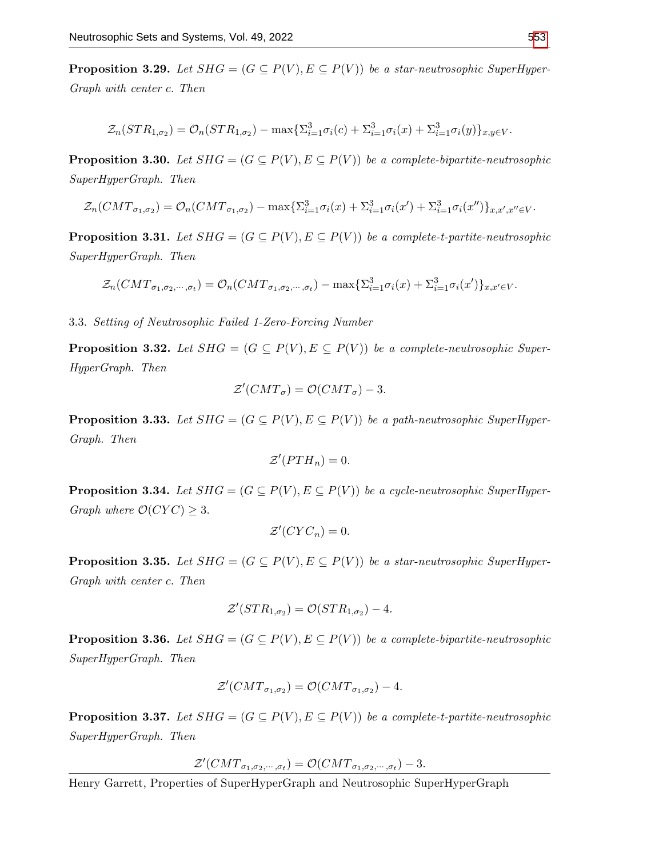**Proposition 3.29.** Let  $SHG = (G \subseteq P(V), E \subseteq P(V))$  be a star-neutrosophic SuperHyper-Graph with center c. Then

$$
\mathcal{Z}_n(STR_{1,\sigma_2}) = \mathcal{O}_n(STR_{1,\sigma_2}) - \max\{\Sigma_{i=1}^3 \sigma_i(c) + \Sigma_{i=1}^3 \sigma_i(x) + \Sigma_{i=1}^3 \sigma_i(y)\}_{x,y \in V}.
$$

**Proposition 3.30.** Let  $SHG = (G \subseteq P(V), E \subseteq P(V))$  be a complete-bipartite-neutrosophic SuperHyperGraph. Then

$$
\mathcal{Z}_n(CMT_{\sigma_1,\sigma_2}) = \mathcal{O}_n(CMT_{\sigma_1,\sigma_2}) - \max\{\Sigma_{i=1}^3 \sigma_i(x) + \Sigma_{i=1}^3 \sigma_i(x') + \Sigma_{i=1}^3 \sigma_i(x'')\}_{x,x',x'' \in V}.
$$

**Proposition 3.31.** Let  $SHG = (G \subseteq P(V), E \subseteq P(V))$  be a complete-t-partite-neutrosophic SuperHyperGraph. Then

$$
\mathcal{Z}_n(CMT_{\sigma_1,\sigma_2,\cdots,\sigma_t})=\mathcal{O}_n(CMT_{\sigma_1,\sigma_2,\cdots,\sigma_t})-\max\{\Sigma_{i=1}^3\sigma_i(x)+\Sigma_{i=1}^3\sigma_i(x')\}_{x,x'\in V}.
$$

3.3. Setting of Neutrosophic Failed 1-Zero-Forcing Number

**Proposition 3.32.** Let  $SHG = (G \subseteq P(V), E \subseteq P(V))$  be a complete-neutrosophic Super-HyperGraph. Then

$$
\mathcal{Z}'(CMT_{\sigma}) = \mathcal{O}(CMT_{\sigma}) - 3.
$$

**Proposition 3.33.** Let  $SHG = (G \subseteq P(V), E \subseteq P(V))$  be a path-neutrosophic SuperHyper-Graph. Then

$$
\mathcal{Z}'(PTH_n)=0.
$$

**Proposition 3.34.** Let  $SHG = (G \subseteq P(V), E \subseteq P(V))$  be a cycle-neutrosophic SuperHyper-Graph where  $\mathcal{O}(CYC) \geq 3$ .

$$
\mathcal{Z}'(CYC_n)=0.
$$

**Proposition 3.35.** Let  $SHG = (G \subseteq P(V), E \subseteq P(V))$  be a star-neutrosophic SuperHyper-Graph with center c. Then

$$
\mathcal{Z}'(STR_{1,\sigma_2}) = \mathcal{O}(STR_{1,\sigma_2}) - 4.
$$

**Proposition 3.36.** Let  $SHG = (G \subseteq P(V), E \subseteq P(V))$  be a complete-bipartite-neutrosophic SuperHyperGraph. Then

$$
\mathcal{Z}'(CMT_{\sigma_1,\sigma_2})=\mathcal{O}(CMT_{\sigma_1,\sigma_2})-4.
$$

**Proposition 3.37.** Let  $SHG = (G \subseteq P(V), E \subseteq P(V))$  be a complete-t-partite-neutrosophic SuperHyperGraph. Then

 $\mathcal{Z}^{\prime}(CMT_{\sigma_1,\sigma_2,\cdots,\sigma_t})=\mathcal{O}(CMT_{\sigma_1,\sigma_2,\cdots,\sigma_t})-3.$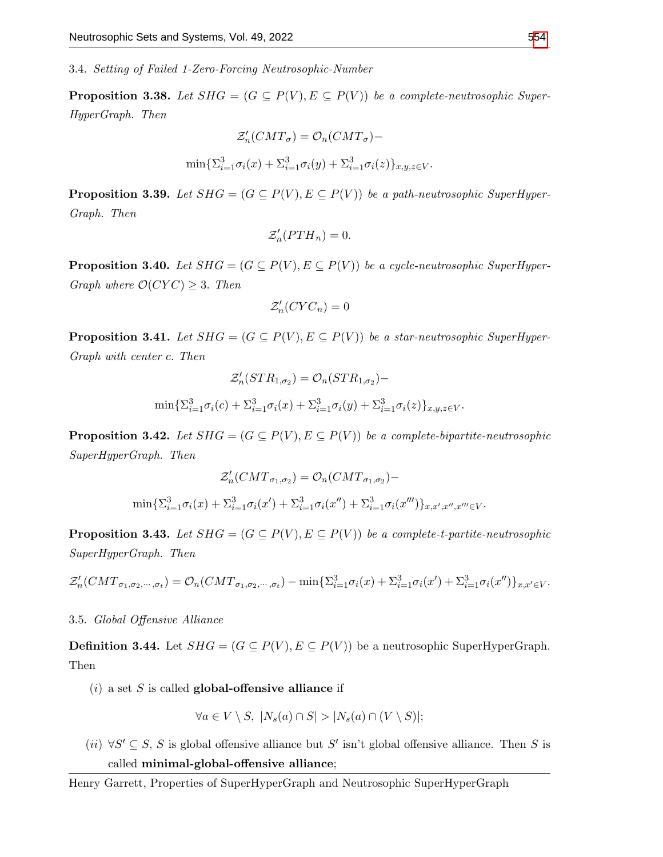3.4. Setting of Failed 1-Zero-Forcing Neutrosophic-Number

**Proposition 3.38.** Let  $SHG = (G \subseteq P(V), E \subseteq P(V))$  be a complete-neutrosophic Super-HyperGraph. Then

$$
\mathcal{Z}'_n(CMT_{\sigma}) = \mathcal{O}_n(CMT_{\sigma}) -
$$
  

$$
\min \{ \Sigma_{i=1}^3 \sigma_i(x) + \Sigma_{i=1}^3 \sigma_i(y) + \Sigma_{i=1}^3 \sigma_i(z) \}_{x,y,z \in V}.
$$

**Proposition 3.39.** Let  $SHG = (G \subseteq P(V), E \subseteq P(V))$  be a path-neutrosophic SuperHyper-Graph. Then

$$
\mathcal{Z}'_n(PTH_n) = 0.
$$

**Proposition 3.40.** Let  $SHG = (G \subseteq P(V), E \subseteq P(V))$  be a cycle-neutrosophic SuperHyper-Graph where  $\mathcal{O}(CYC) \geq 3$ . Then

$$
\mathcal{Z}_n'(CYC_n)=0
$$

**Proposition 3.41.** Let  $SHG = (G \subseteq P(V), E \subseteq P(V))$  be a star-neutrosophic SuperHyper-Graph with center c. Then

$$
\mathcal{Z}'_n(STR_{1,\sigma_2}) = \mathcal{O}_n(STR_{1,\sigma_2}) -
$$
  

$$
\min \{ \Sigma_{i=1}^3 \sigma_i(c) + \Sigma_{i=1}^3 \sigma_i(x) + \Sigma_{i=1}^3 \sigma_i(y) + \Sigma_{i=1}^3 \sigma_i(z) \}_{x,y,z \in V}.
$$

**Proposition 3.42.** Let  $SHG = (G \subseteq P(V), E \subseteq P(V))$  be a complete-bipartite-neutrosophic SuperHyperGraph. Then

$$
\mathcal{Z}'_n(CMT_{\sigma_1,\sigma_2}) = \mathcal{O}_n(CMT_{\sigma_1,\sigma_2}) -
$$
  

$$
\min \{ \Sigma_{i=1}^3 \sigma_i(x) + \Sigma_{i=1}^3 \sigma_i(x') + \Sigma_{i=1}^3 \sigma_i(x'') + \Sigma_{i=1}^3 \sigma_i(x''') \}_{x,x',x'',x''' \in V}.
$$

**Proposition 3.43.** Let  $SHG = (G \subseteq P(V), E \subseteq P(V))$  be a complete-t-partite-neutrosophic SuperHyperGraph. Then

$$
\mathcal{Z}_n'(CMT_{\sigma_1,\sigma_2,\cdots,\sigma_t}) = \mathcal{O}_n(CMT_{\sigma_1,\sigma_2,\cdots,\sigma_t}) - \min\{\Sigma_{i=1}^3\sigma_i(x) + \Sigma_{i=1}^3\sigma_i(x') + \Sigma_{i=1}^3\sigma_i(x'')\}_{x,x'\in V}.
$$

## 3.5. Global Offensive Alliance

**Definition 3.44.** Let  $SHG = (G \subseteq P(V), E \subseteq P(V))$  be a neutrosophic SuperHyperGraph. Then

 $(i)$  a set S is called global-offensive alliance if

$$
\forall a \in V \setminus S, \ |N_s(a) \cap S| > |N_s(a) \cap (V \setminus S)|;
$$

 $(ii)$  ∀S'  $\subseteq$  S, S is global offensive alliance but S' isn't global offensive alliance. Then S is called minimal-global-offensive alliance;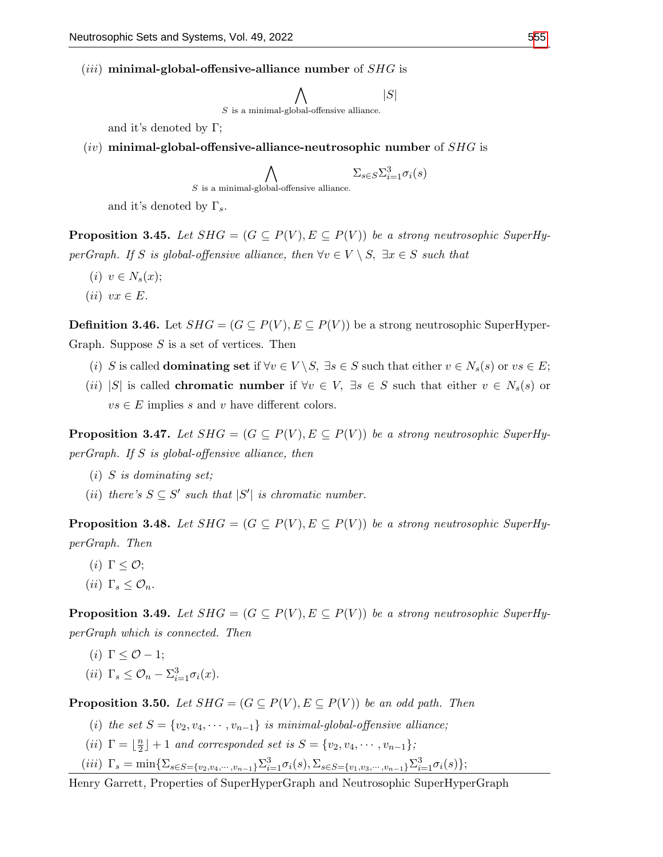- (*iii*) minimal-global-offensive-alliance number of  $SHG$  is
	- $\wedge$  $S$  is a minimal-global-offensive alliance.  $|S|$

and it's denoted by Γ;

 $(iv)$  minimal-global-offensive-alliance-neutrosophic number of  $SHG$  is

$$
\bigwedge_{S \text{ is a minimal-global-oftensive alliance.}} \Sigma_{s \in S} \Sigma_{i=1}^{3} \sigma_i(s)
$$

and it's denoted by  $\Gamma_s$ .

**Proposition 3.45.** Let  $SHG = (G \subseteq P(V), E \subseteq P(V))$  be a strong neutrosophic SuperHyperGraph. If S is global-offensive alliance, then  $\forall v \in V \setminus S$ ,  $\exists x \in S$  such that

- $(i)$   $v \in N_s(x);$
- $(ii) \, vx \in E.$

**Definition 3.46.** Let  $SHG = (G \subseteq P(V), E \subseteq P(V))$  be a strong neutrosophic SuperHyper-Graph. Suppose  $S$  is a set of vertices. Then

- (i) S is called **dominating set** if  $\forall v \in V \setminus S$ ,  $\exists s \in S$  such that either  $v \in N_s(s)$  or  $vs \in E$ ;
- (ii) |S| is called **chromatic number** if  $\forall v \in V$ ,  $\exists s \in S$  such that either  $v \in N_s(s)$  or  $vs \in E$  implies s and v have different colors.

**Proposition 3.47.** Let  $SHG = (G \subseteq P(V), E \subseteq P(V))$  be a strong neutrosophic SuperHyperGraph. If S is global-offensive alliance, then

- $(i)$  S is dominating set;
- (ii) there's  $S \subseteq S'$  such that  $|S'|$  is chromatic number.

**Proposition 3.48.** Let  $SHG = (G \subseteq P(V), E \subseteq P(V))$  be a strong neutrosophic SuperHyperGraph. Then

- (*i*)  $\Gamma \leq \mathcal{O}$ ;
- (*ii*)  $\Gamma_s \leq \mathcal{O}_n$ .

**Proposition 3.49.** Let  $SHG = (G \subseteq P(V), E \subseteq P(V))$  be a strong neutrosophic SuperHyperGraph which is connected. Then

(i)  $\Gamma < \mathcal{O} - 1$ ; (*ii*)  $\Gamma_s \leq \mathcal{O}_n - \Sigma_{i=1}^3 \sigma_i(x)$ .

**Proposition 3.50.** Let  $SHG = (G \subseteq P(V), E \subseteq P(V))$  be an odd path. Then

- (i) the set  $S = \{v_2, v_4, \cdots, v_{n-1}\}$  is minimal-global-offensive alliance;
- (*ii*)  $\Gamma = \frac{n}{2}$  $\lfloor \frac{n}{2} \rfloor + 1$  and corresponded set is  $S = \{v_2, v_4, \cdots, v_{n-1}\};$
- (iii)  $\Gamma_s = \min \{ \sum_{s \in S = \{v_2, v_4, \dots, v_{n-1}\}} \sum_{i=1}^3 \sigma_i(s), \sum_{s \in S = \{v_1, v_3, \dots, v_{n-1}\}} \sum_{i=1}^3 \sigma_i(s) \};$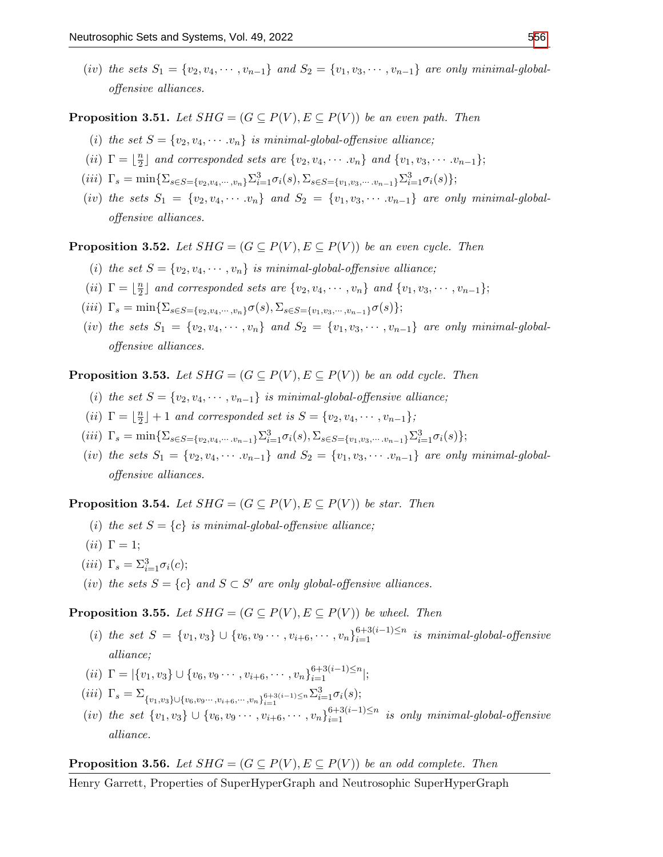(iv) the sets  $S_1 = \{v_2, v_4, \cdots, v_{n-1}\}\$  and  $S_2 = \{v_1, v_3, \cdots, v_{n-1}\}\$  are only minimal-globaloffensive alliances.

**Proposition 3.51.** Let  $SHG = (G \subseteq P(V), E \subseteq P(V))$  be an even path. Then

- (i) the set  $S = \{v_2, v_4, \cdots, v_n\}$  is minimal-global-offensive alliance;
- (*ii*)  $\Gamma = \frac{n}{2}$  $\frac{n}{2}$  and corresponded sets are  $\{v_2, v_4, \cdots v_n\}$  and  $\{v_1, v_3, \cdots v_{n-1}\};$
- (iii)  $\Gamma_s = \min \{ \sum_{s \in S = \{v_2, v_4, \cdots, v_n\}} \sum_{i=1}^3 \sigma_i(s), \sum_{s \in S = \{v_1, v_3, \cdots, v_{n-1}\}} \sum_{i=1}^3 \sigma_i(s) \};$
- (iv) the sets  $S_1 = \{v_2, v_4, \cdots, v_n\}$  and  $S_2 = \{v_1, v_3, \cdots, v_{n-1}\}$  are only minimal-globaloffensive alliances.

**Proposition 3.52.** Let  $SHG = (G \subseteq P(V), E \subseteq P(V))$  be an even cycle. Then

- (i) the set  $S = \{v_2, v_4, \cdots, v_n\}$  is minimal-global-offensive alliance;
- (*ii*)  $\Gamma = \frac{n}{2}$  $\frac{n}{2}$  and corresponded sets are  $\{v_2, v_4, \cdots, v_n\}$  and  $\{v_1, v_3, \cdots, v_{n-1}\};$
- (iii)  $\Gamma_s = \min\{\Sigma_{s\in S=\{v_2,v_4,\cdots,v_n\}}\sigma(s), \Sigma_{s\in S=\{v_1,v_3,\cdots,v_{n-1}\}}\sigma(s)\};$
- (iv) the sets  $S_1 = \{v_2, v_4, \cdots, v_n\}$  and  $S_2 = \{v_1, v_3, \cdots, v_{n-1}\}$  are only minimal-globaloffensive alliances.

**Proposition 3.53.** Let  $SHG = (G \subseteq P(V), E \subseteq P(V))$  be an odd cycle. Then

- (i) the set  $S = \{v_2, v_4, \cdots, v_{n-1}\}\$ is minimal-global-offensive alliance;
- (*ii*)  $\Gamma = \frac{n}{2}$  $\lfloor \frac{n}{2} \rfloor + 1$  and corresponded set is  $S = \{v_2, v_4, \cdots, v_{n-1}\};$
- (iii)  $\Gamma_s = \min \{ \sum_{s \in S = \{v_2, v_4, \dots, v_{n-1}\}} \sum_{i=1}^3 \sigma_i(s), \sum_{s \in S = \{v_1, v_3, \dots, v_{n-1}\}} \sum_{i=1}^3 \sigma_i(s) \};$
- (iv) the sets  $S_1 = \{v_2, v_4, \cdots, v_{n-1}\}$  and  $S_2 = \{v_1, v_3, \cdots, v_{n-1}\}$  are only minimal-globaloffensive alliances.

**Proposition 3.54.** Let  $SHG = (G \subseteq P(V), E \subseteq P(V))$  be star. Then

- (i) the set  $S = \{c\}$  is minimal-global-offensive alliance;
- (*ii*)  $\Gamma = 1$ ;
- (iii)  $\Gamma_s = \Sigma_{i=1}^3 \sigma_i(c);$
- (iv) the sets  $S = \{c\}$  and  $S \subset S'$  are only global-offensive alliances.

**Proposition 3.55.** Let  $SHG = (G \subseteq P(V), E \subseteq P(V))$  be wheel. Then

- (i) the set  $S = \{v_1, v_3\} \cup \{v_6, v_9 \cdots, v_{i+6}, \cdots, v_n\}_{i=1}^{6+3(i-1)\leq n}$  is minimal-global-offensive alliance;
- (ii)  $\Gamma = |\{v_1, v_3\} \cup \{v_6, v_9 \cdots, v_{i+6}, \cdots, v_n\}_{i=1}^{6+3(i-1)\leq n}|;$
- (iii)  $\Gamma_s = \sum_{\{v_1, v_3\} \cup \{v_6, v_9\cdots, v_{i+6}, \cdots, v_n\}_{i=1}^{6+3(i-1)\leq n} \sum_{i=1}^3 \sigma_i(s);$
- $(iv)$  the set  $\{v_1, v_3\} \cup \{v_6, v_9 \cdots, v_{i+6}, \cdots, v_n\}_{i=1}^{6+3(i-1)\leq n}$  is only minimal-global-offensive alliance.

**Proposition 3.56.** Let  $SHG = (G \subseteq P(V), E \subseteq P(V))$  be an odd complete. Then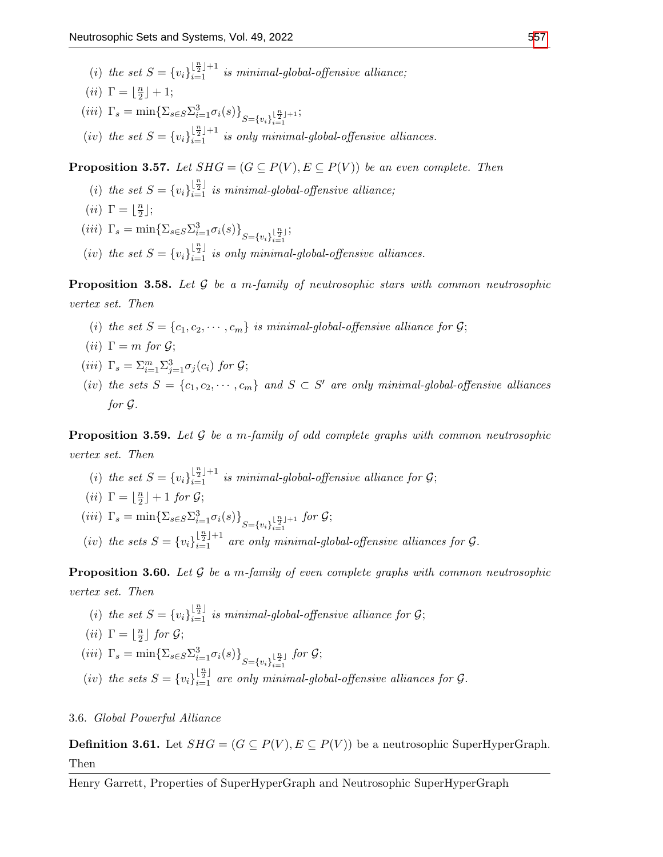- (i) the set  $S = \{v_i\}_{i=1}^{\lfloor \frac{n}{2} \rfloor + 1}$  is minimal-global-offensive alliance;
- (*ii*)  $\Gamma = \frac{n}{2}$  $\frac{n}{2}$ ] + 1;
- (*iii*)  $\Gamma_s = \min \{ \sum_{s \in S} \sum_{i=1}^3 \sigma_i(s) \}_{S = \{v_i\}_{i=1}^{\lfloor \frac{n}{2} \rfloor + 1}}$  $i=1$ ;
- (iv) the set  $S = \{v_i\}_{i=1}^{\lfloor \frac{n}{2} \rfloor + 1}$  is only minimal-global-offensive alliances.

**Proposition 3.57.** Let  $SHG = (G \subseteq P(V), E \subseteq P(V))$  be an even complete. Then

;

(i) the set  $S = \{v_i\}_{i=1}^{\lfloor \frac{n}{2} \rfloor}$  is minimal-global-offensive alliance;

$$
(ii) \ \Gamma = \lfloor \tfrac{n}{2} \rfloor;
$$

- (*iii*)  $\Gamma_s = \min \{ \sum_{s \in S} \sum_{i=1}^3 \sigma_i(s) \}_{S = \{v_i\}_{i=1}^{\lfloor \frac{n}{2} \rfloor}}$  $i=1$
- (iv) the set  $S = \{v_i\}_{i=1}^{\lfloor \frac{n}{2} \rfloor}$  is only minimal-global-offensive alliances.

**Proposition 3.58.** Let  $\mathcal G$  be a m-family of neutrosophic stars with common neutrosophic vertex set. Then

- (i) the set  $S = \{c_1, c_2, \dots, c_m\}$  is minimal-global-offensive alliance for  $G$ ;
- (*ii*)  $\Gamma = m$  for  $\mathcal{G}$ ;
- (iii)  $\Gamma_s = \sum_{i=1}^m \sum_{j=1}^3 \sigma_j(c_i)$  for  $\mathcal{G};$
- (iv) the sets  $S = \{c_1, c_2, \dots, c_m\}$  and  $S \subset S'$  are only minimal-global-offensive alliances for G.

**Proposition 3.59.** Let  $\mathcal G$  be a m-family of odd complete graphs with common neutrosophic vertex set. Then

(i) the set  $S = \{v_i\}_{i=1}^{\lfloor \frac{n}{2} \rfloor + 1}$  is minimal-global-offensive alliance for  $\mathcal{G}$ ;

$$
(ii) \ \Gamma = \lfloor \frac{n}{2} \rfloor + 1 \ \text{for} \ \mathcal{G};
$$

- (*iii*)  $\Gamma_s = \min \{ \sum_{s \in S} \sum_{i=1}^3 \sigma_i(s) \}_{S = \{v_i\}_{i=1}^{\lfloor \frac{n}{2} \rfloor + 1}}$  $i=1$ for G;
- (iv) the sets  $S = \{v_i\}_{i=1}^{\lfloor \frac{n}{2} \rfloor + 1}$  are only minimal-global-offensive alliances for  $\mathcal{G}$ .

**Proposition 3.60.** Let  $\mathcal G$  be a m-family of even complete graphs with common neutrosophic vertex set. Then

(i) the set  $S = \{v_i\}_{i=1}^{\lfloor \frac{n}{2} \rfloor}$  is minimal-global-offensive alliance for  $\mathcal{G}$ ;

(*ii*) 
$$
\Gamma = \lfloor \frac{n}{2} \rfloor
$$
 for  $G$ ;

$$
(iii) \ \Gamma_s = \min \{ \Sigma_{s \in S} \Sigma_{i=1}^3 \sigma_i(s) \}_{S = \{v_i\}_{i=1}^{\lfloor \frac{n}{2} \rfloor}} \text{ for } \mathcal{G};
$$

(iv) the sets  $S = \{v_i\}_{i=1}^{\lfloor \frac{n}{2} \rfloor}$  are only minimal-global-offensive alliances for  $\mathcal{G}$ .

## 3.6. Global Powerful Alliance

**Definition 3.61.** Let  $SHG = (G \subseteq P(V), E \subseteq P(V))$  be a neutrosophic SuperHyperGraph. Then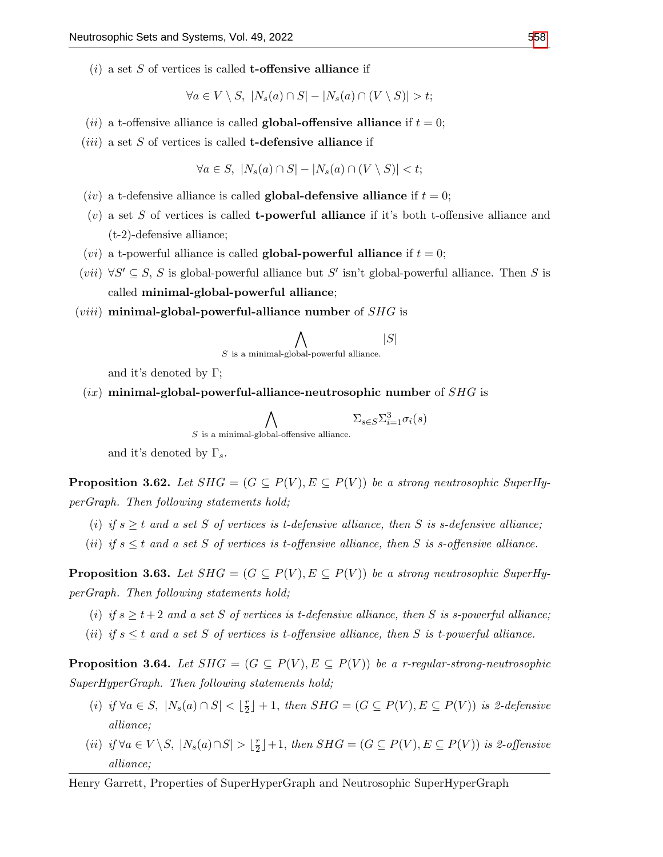$(i)$  a set S of vertices is called **t-offensive alliance** if

$$
\forall a \in V \setminus S, \ |N_s(a) \cap S| - |N_s(a) \cap (V \setminus S)| > t;
$$

- (*ii*) a t-offensive alliance is called **global-offensive alliance** if  $t = 0$ ;
- $(iii)$  a set S of vertices is called **t-defensive alliance** if

$$
\forall a \in S, \ |N_s(a) \cap S| - |N_s(a) \cap (V \setminus S)| < t;
$$

- (iv) a t-defensive alliance is called **global-defensive alliance** if  $t = 0$ ;
- $(v)$  a set S of vertices is called **t-powerful alliance** if it's both t-offensive alliance and (t-2)-defensive alliance;
- (*vi*) a t-powerful alliance is called **global-powerful alliance** if  $t = 0$ ;
- $(vii) \ \forall S' \subseteq S, S$  is global-powerful alliance but S' isn't global-powerful alliance. Then S is called minimal-global-powerful alliance;
- (*viii*) minimal-global-powerful-alliance number of  $SHG$  is

$$
\bigwedge_{S \text{ is a minimal-global-powerful alliance.}} |S|
$$

and it's denoted by  $\Gamma$ ;

 $(ix)$  minimal-global-powerful-alliance-neutrosophic number of  $SHG$  is

$$
\bigwedge_{S \text{ is a minimal-global-offensive alliance.}} \Sigma_{s \in S} \Sigma_{i=1}^3 \sigma_i(s)
$$

and it's denoted by  $\Gamma_s$ .

**Proposition 3.62.** Let  $SHG = (G \subseteq P(V), E \subseteq P(V))$  be a strong neutrosophic SuperHyperGraph. Then following statements hold;

- (i) if  $s \geq t$  and a set S of vertices is t-defensive alliance, then S is s-defensive alliance;
- (ii) if  $s \leq t$  and a set S of vertices is t-offensive alliance, then S is s-offensive alliance.

**Proposition 3.63.** Let  $SHG = (G \subseteq P(V), E \subseteq P(V))$  be a strong neutrosophic SuperHyperGraph. Then following statements hold;

- (i) if  $s \geq t+2$  and a set S of vertices is t-defensive alliance, then S is s-powerful alliance;
- (ii) if  $s \leq t$  and a set S of vertices is t-offensive alliance, then S is t-powerful alliance.

**Proposition 3.64.** Let  $SHG = (G \subseteq P(V), E \subseteq P(V))$  be a r-regular-strong-neutrosophic SuperHyperGraph. Then following statements hold;

- (i) if  $\forall a \in S, |N_s(a) \cap S| < \lfloor \frac{r}{2} \rfloor$  $\lfloor \frac{r}{2} \rfloor + 1$ , then  $SHG = (G \subseteq P(V), E \subseteq P(V))$  is 2-defensive alliance;
- (ii) if  $\forall a \in V \backslash S, |N_s(a) \cap S| > \lfloor \frac{r}{2} \rfloor$  $\lfloor \frac{r}{2} \rfloor + 1$ , then  $SHG = (G \subseteq P(V), E \subseteq P(V))$  is 2-offensive alliance;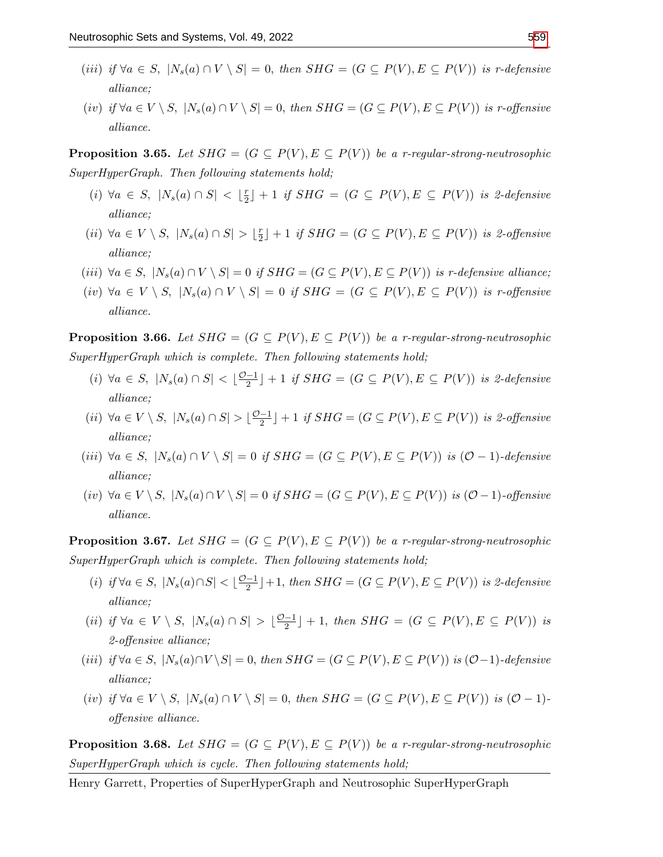- (iii) if  $\forall a \in S$ ,  $|N_s(a) \cap V \setminus S| = 0$ , then  $SHG = (G \subseteq P(V), E \subseteq P(V))$  is r-defensive alliance;
- $(iv)$  if  $\forall a \in V \setminus S$ ,  $|N_s(a) \cap V \setminus S| = 0$ , then  $SHG = (G \subseteq P(V), E \subseteq P(V))$  is r-offensive alliance.

**Proposition 3.65.** Let  $SHG = (G \subseteq P(V), E \subseteq P(V))$  be a r-regular-strong-neutrosophic SuperHyperGraph. Then following statements hold;

- $(i) \ \forall a \in S, \ |N_s(a) \cap S| < \lfloor \frac{r}{2} \rfloor$  $\lfloor \frac{r}{2} \rfloor + 1$  if  $SHG = (G \subseteq P(V), E \subseteq P(V))$  is 2-defensive alliance;
- (*ii*)  $\forall a \in V \setminus S, |N_s(a) \cap S| > \lfloor \frac{r}{2} \rfloor$  $\lfloor \frac{r}{2} \rfloor + 1$  if  $SHG = (G \subseteq P(V), E \subseteq P(V))$  is 2-offensive alliance;
- (iii)  $\forall a \in S, |N_s(a) \cap V \setminus S| = 0$  if  $SHG = (G \subseteq P(V), E \subseteq P(V))$  is r-defensive alliance;
- $(iv)$  ∀a ∈  $V \setminus S$ ,  $|N_s(a) \cap V \setminus S| = 0$  if  $SHG = (G \subseteq P(V), E \subseteq P(V))$  is r-offensive alliance.

**Proposition 3.66.** Let  $SHG = (G \subseteq P(V), E \subseteq P(V))$  be a r-regular-strong-neutrosophic SuperHyperGraph which is complete. Then following statements hold;

- (i)  $\forall a \in S, |N_s(a) \cap S| < \lfloor \frac{\mathcal{O}-1}{2} \rfloor$  $\frac{-1}{2}$  | + 1 if SHG =  $(G \subseteq P(V), E \subseteq P(V))$  is 2-defensive alliance;
- (*ii*)  $\forall a \in V \setminus S$ ,  $|N_s(a) \cap S| > \lfloor \frac{\mathcal{O}-1}{2}$  $\frac{q-1}{2}$  | + 1 if SHG =  $(G \subseteq P(V), E \subseteq P(V))$  is 2-offensive alliance;
- (iii)  $\forall a \in S, |N_s(a) \cap V \setminus S| = 0$  if  $SHG = (G \subseteq P(V), E \subseteq P(V))$  is  $(O-1)$ -defensive alliance;
- $(iv) \ \forall a \in V \setminus S, \ |N_s(a) \cap V \setminus S| = 0 \ \text{if} \ SHG = (G \subseteq P(V), E \subseteq P(V)) \ \text{is} \ (\mathcal{O}-1) \text{-}of \text{fensive}$ alliance.

**Proposition 3.67.** Let  $SHG = (G \subseteq P(V), E \subseteq P(V))$  be a r-regular-strong-neutrosophic SuperHyperGraph which is complete. Then following statements hold;

- (i) if  $\forall a \in S, |N_s(a) \cap S| < \lfloor \frac{\mathcal{O}-1}{2} \rfloor$  $\frac{-1}{2}$  | + 1, then  $SHG = (G \subseteq P(V), E \subseteq P(V))$  is 2-defensive alliance;
- (ii) if  $\forall a \in V \setminus S$ ,  $|N_s(a) \cap S| > \lfloor \frac{\mathcal{O}-1}{2} \rfloor$  $\frac{-1}{2}$  | + 1, then  $SHG = (G \subseteq P(V), E \subseteq P(V))$  is 2-offensive alliance;
- (iii) if  $\forall a \in S$ ,  $|N_s(a) \cap V \setminus S| = 0$ , then  $SHG = (G \subseteq P(V), E \subseteq P(V))$  is  $(O-1)$ -defensive alliance;
- (iv) if  $\forall a \in V \setminus S$ ,  $|N_s(a) \cap V \setminus S| = 0$ , then  $SHG = (G \subseteq P(V), E \subseteq P(V))$  is  $(O-1)$ offensive alliance.

**Proposition 3.68.** Let  $SHG = (G \subseteq P(V), E \subseteq P(V))$  be a r-regular-strong-neutrosophic SuperHyperGraph which is cycle. Then following statements hold;